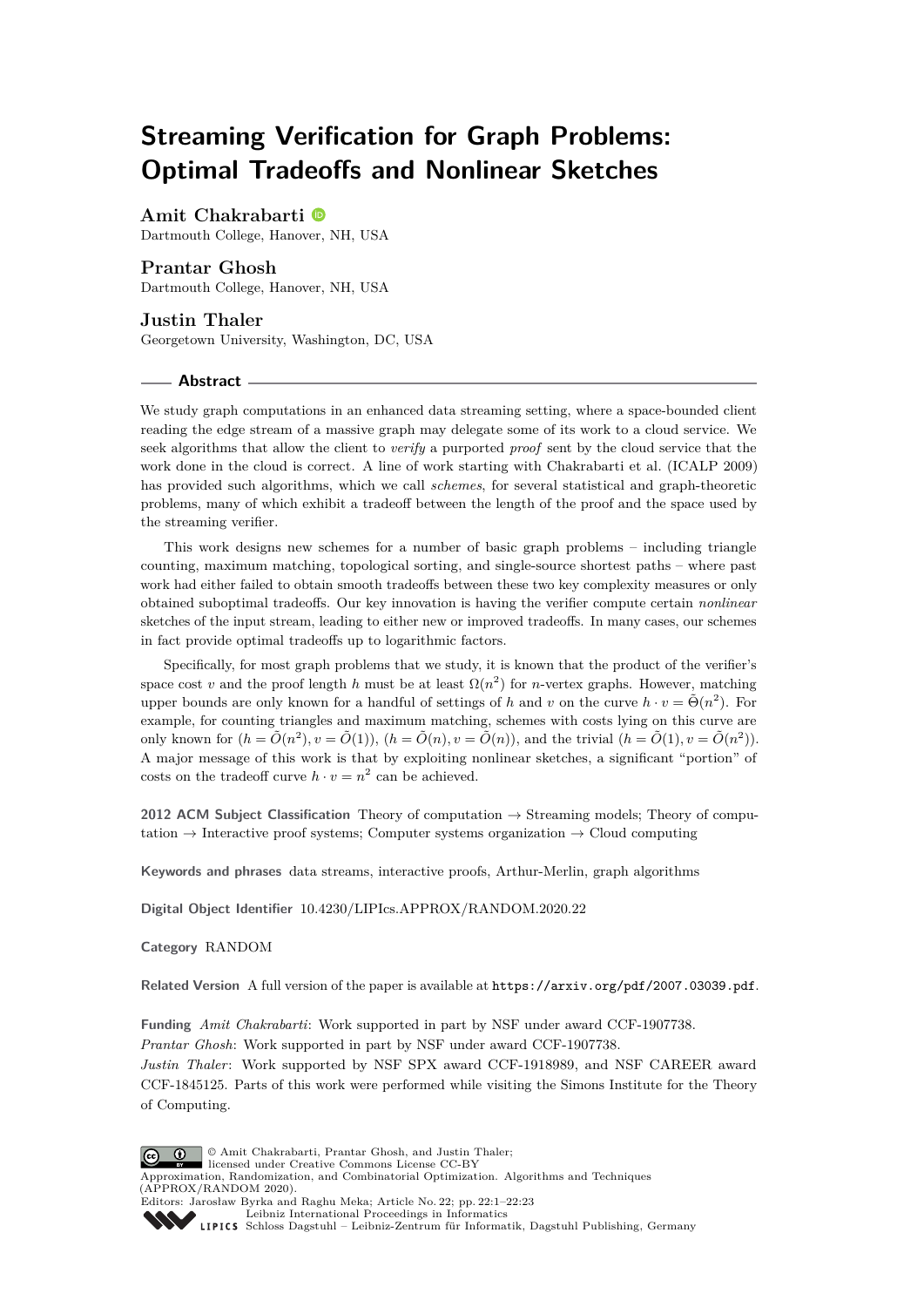# **Streaming Verification for Graph Problems: Optimal Tradeoffs and Nonlinear Sketches**

**Amit Chakrabarti**

Dartmouth College, Hanover, NH, USA

### **Prantar Ghosh**

Dartmouth College, Hanover, NH, USA

**Justin Thaler** Georgetown University, Washington, DC, USA

### **Abstract**

We study graph computations in an enhanced data streaming setting, where a space-bounded client reading the edge stream of a massive graph may delegate some of its work to a cloud service. We seek algorithms that allow the client to *verify* a purported *proof* sent by the cloud service that the work done in the cloud is correct. A line of work starting with Chakrabarti et al. (ICALP 2009) has provided such algorithms, which we call *schemes*, for several statistical and graph-theoretic problems, many of which exhibit a tradeoff between the length of the proof and the space used by the streaming verifier.

This work designs new schemes for a number of basic graph problems – including triangle counting, maximum matching, topological sorting, and single-source shortest paths – where past work had either failed to obtain smooth tradeoffs between these two key complexity measures or only obtained suboptimal tradeoffs. Our key innovation is having the verifier compute certain *nonlinear* sketches of the input stream, leading to either new or improved tradeoffs. In many cases, our schemes in fact provide optimal tradeoffs up to logarithmic factors.

Specifically, for most graph problems that we study, it is known that the product of the verifier's space cost *v* and the proof length *h* must be at least  $\Omega(n^2)$  for *n*-vertex graphs. However, matching upper bounds are only known for a handful of settings of *h* and *v* on the curve  $h \cdot v = \tilde{\Theta}(n^2)$ . For example, for counting triangles and maximum matching, schemes with costs lying on this curve are only known for  $(h = \tilde{O}(n^2), v = \tilde{O}(1)),$   $(h = \tilde{O}(n), v = \tilde{O}(n))$ , and the trivial  $(h = \tilde{O}(1), v = \tilde{O}(n^2)).$ A major message of this work is that by exploiting nonlinear sketches, a significant "portion" of costs on the tradeoff curve  $h \cdot v = n^2$  can be achieved.

**2012 ACM Subject Classification** Theory of computation → Streaming models; Theory of computation  $\rightarrow$  Interactive proof systems; Computer systems organization  $\rightarrow$  Cloud computing

**Keywords and phrases** data streams, interactive proofs, Arthur-Merlin, graph algorithms

**Digital Object Identifier** [10.4230/LIPIcs.APPROX/RANDOM.2020.22](https://doi.org/10.4230/LIPIcs.APPROX/RANDOM.2020.22)

### **Category** RANDOM

**Related Version** A full version of the paper is available at <https://arxiv.org/pdf/2007.03039.pdf>.

**Funding** *Amit Chakrabarti*: Work supported in part by NSF under award CCF-1907738. *Prantar Ghosh*: Work supported in part by NSF under award CCF-1907738. *Justin Thaler*: Work supported by NSF SPX award CCF-1918989, and NSF CAREER award CCF-1845125. Parts of this work were performed while visiting the Simons Institute for the Theory of Computing.

© Amit Chakrabarti, Prantar Ghosh, and Justin Thaler;  $\boxed{6}$   $\boxed{0}$ licensed under Creative Commons License CC-BY Approximation, Randomization, and Combinatorial Optimization. Algorithms and Techniques (APPROX/RANDOM 2020). Editors: Jarosław Byrka and Raghu Meka; Article No. 22; pp. 22:1–22[:23](#page-22-0) [Leibniz International Proceedings in Informatics](https://www.dagstuhl.de/lipics/)

[Schloss Dagstuhl – Leibniz-Zentrum für Informatik, Dagstuhl Publishing, Germany](https://www.dagstuhl.de)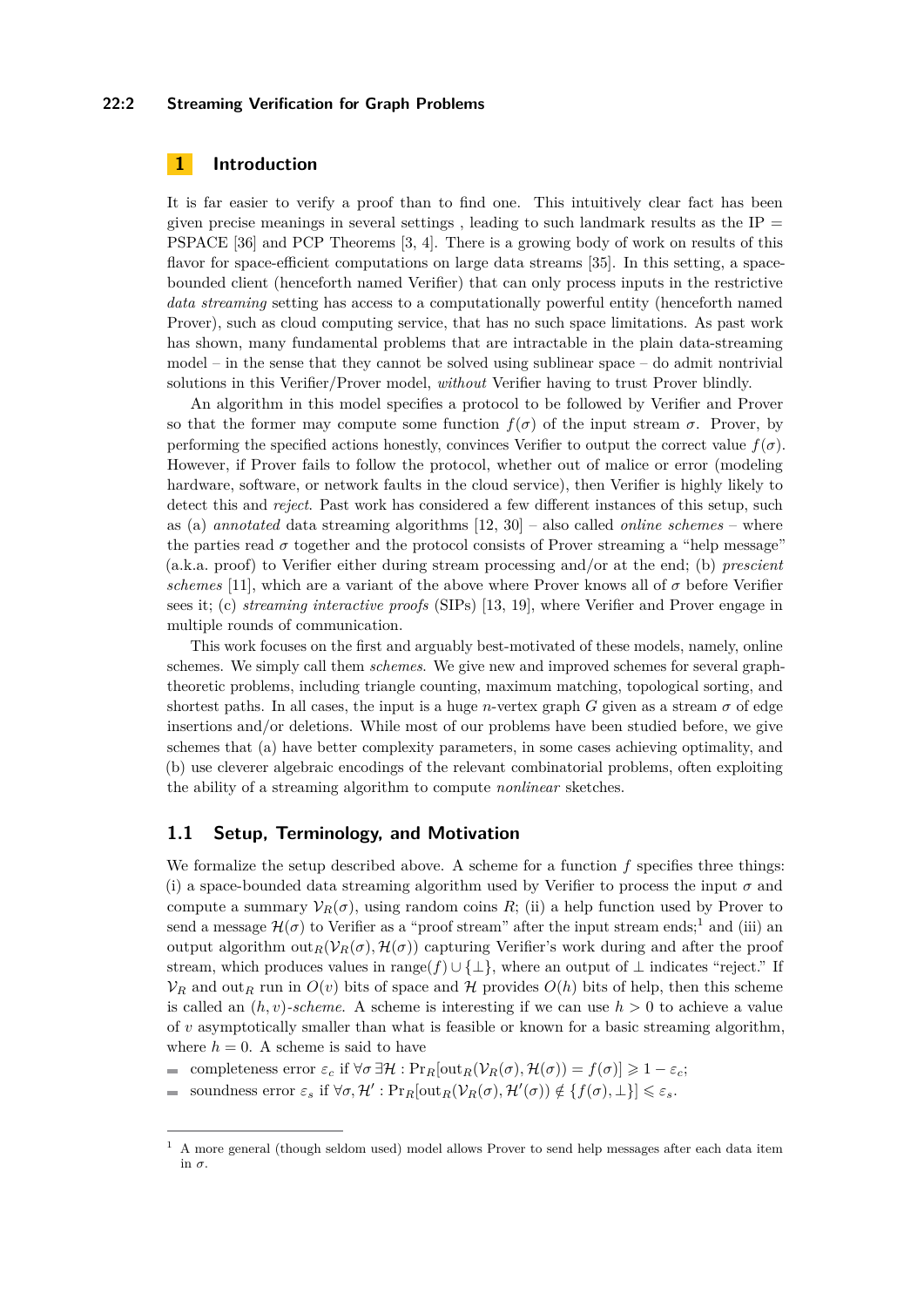# **22:2 Streaming Verification for Graph Problems**

# **1 Introduction**

It is far easier to verify a proof than to find one. This intuitively clear fact has been given precise meanings in several settings, leading to such landmark results as the  $IP =$ PSPACE [\[36\]](#page-17-0) and PCP Theorems [\[3,](#page-16-0) [4\]](#page-16-1). There is a growing body of work on results of this flavor for space-efficient computations on large data streams [\[35\]](#page-17-1). In this setting, a spacebounded client (henceforth named Verifier) that can only process inputs in the restrictive *data streaming* setting has access to a computationally powerful entity (henceforth named Prover), such as cloud computing service, that has no such space limitations. As past work has shown, many fundamental problems that are intractable in the plain data-streaming  $model$  – in the sense that they cannot be solved using sublinear space – do admit nontrivial solutions in this Verifier/Prover model, *without* Verifier having to trust Prover blindly.

An algorithm in this model specifies a protocol to be followed by Verifier and Prover so that the former may compute some function  $f(\sigma)$  of the input stream  $\sigma$ . Prover, by performing the specified actions honestly, convinces Verifier to output the correct value  $f(\sigma)$ . However, if Prover fails to follow the protocol, whether out of malice or error (modeling hardware, software, or network faults in the cloud service), then Verifier is highly likely to detect this and *reject*. Past work has considered a few different instances of this setup, such as (a) *annotated* data streaming algorithms [\[12,](#page-16-2) [30\]](#page-17-2) – also called *online schemes* – where the parties read  $\sigma$  together and the protocol consists of Prover streaming a "help message" (a.k.a. proof) to Verifier either during stream processing and/or at the end; (b) *prescient schemes* [\[11\]](#page-16-3), which are a variant of the above where Prover knows all of  $\sigma$  before Verifier sees it; (c) *streaming interactive proofs* (SIPs) [\[13,](#page-16-4) [19\]](#page-17-3), where Verifier and Prover engage in multiple rounds of communication.

This work focuses on the first and arguably best-motivated of these models, namely, online schemes. We simply call them *schemes*. We give new and improved schemes for several graphtheoretic problems, including triangle counting, maximum matching, topological sorting, and shortest paths. In all cases, the input is a huge *n*-vertex graph *G* given as a stream  $\sigma$  of edge insertions and/or deletions. While most of our problems have been studied before, we give schemes that (a) have better complexity parameters, in some cases achieving optimality, and (b) use cleverer algebraic encodings of the relevant combinatorial problems, often exploiting the ability of a streaming algorithm to compute *nonlinear* sketches.

# <span id="page-1-1"></span>**1.1 Setup, Terminology, and Motivation**

We formalize the setup described above. A scheme for a function *f* specifies three things: (i) a space-bounded data streaming algorithm used by Verifier to process the input  $\sigma$  and compute a summary  $V_R(\sigma)$ , using random coins R; (ii) a help function used by Prover to send a message  $\mathcal{H}(\sigma)$  to Verifier as a "proof stream" after the input stream ends;<sup>[1](#page-1-0)</sup> and (iii) an output algorithm  $\text{out}_R(\mathcal{V}_R(\sigma), \mathcal{H}(\sigma))$  capturing Verifier's work during and after the proof stream, which produces values in range $(f) \cup {\{\perp\}}$ , where an output of  $\perp$  indicates "reject." If  $V_R$  and out<sub>R</sub> run in  $O(v)$  bits of space and H provides  $O(h)$  bits of help, then this scheme is called an  $(h, v)$ -scheme. A scheme is interesting if we can use  $h > 0$  to achieve a value of *v* asymptotically smaller than what is feasible or known for a basic streaming algorithm, where  $h = 0$ . A scheme is said to have

- completeness error  $\varepsilon_c$  if  $\forall \sigma \exists \mathcal{H} : \Pr_R[\text{out}_R(\mathcal{V}_R(\sigma), \mathcal{H}(\sigma)) = f(\sigma)] \geq 1 \varepsilon_c$ ; m.
- $\text{soundness error } \varepsilon_s \text{ if } \forall \sigma, \mathcal{H}' : \Pr_R[\text{out}_R(\mathcal{V}_R(\sigma), \mathcal{H}'(\sigma)) \notin \{f(\sigma), \bot\}] \leqslant \varepsilon_s.$  $\overline{a}$

<span id="page-1-0"></span><sup>1</sup> A more general (though seldom used) model allows Prover to send help messages after each data item in  $\sigma$ .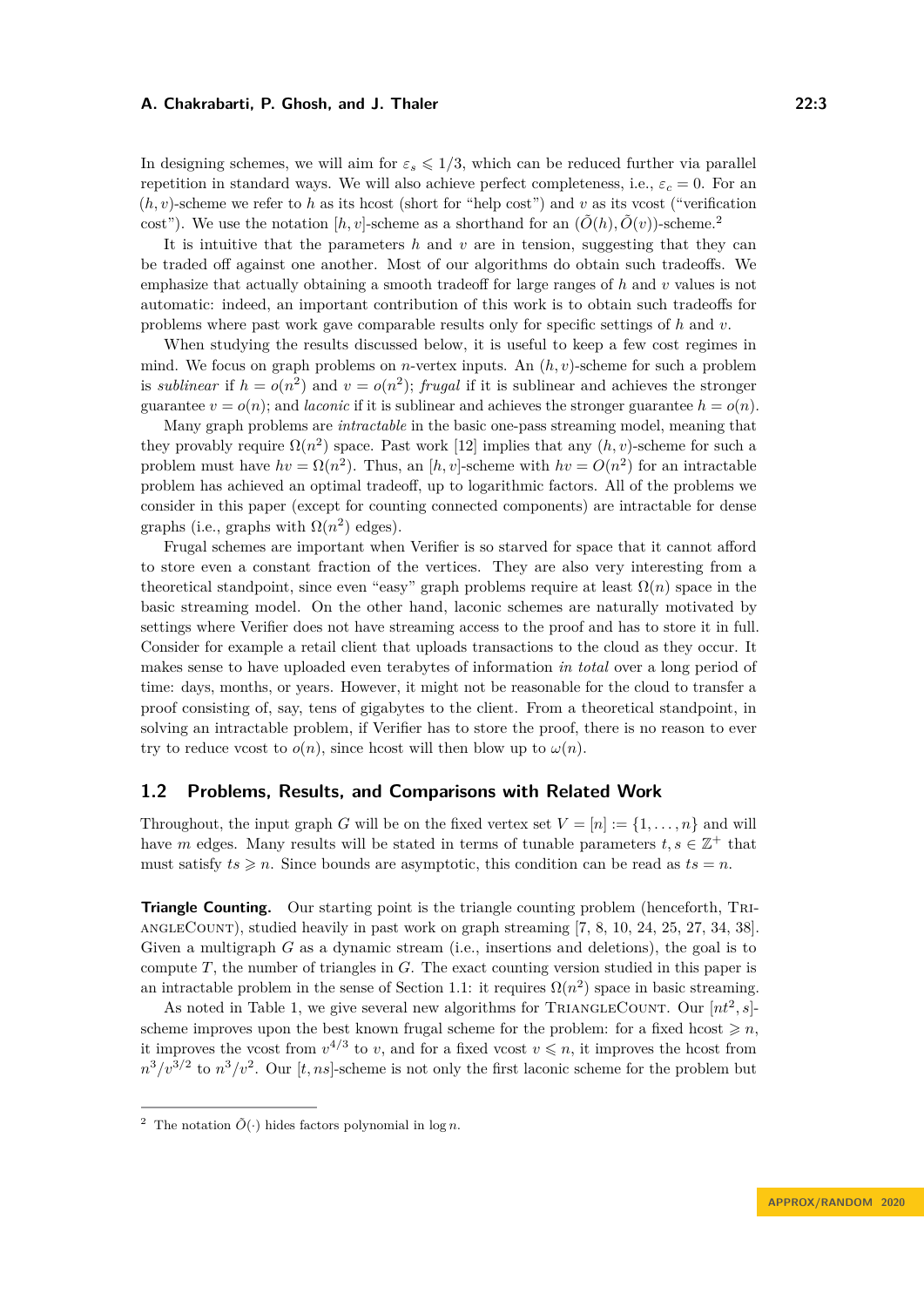In designing schemes, we will aim for  $\varepsilon$ <sub>*s*</sub>  $\leq$  1/3, which can be reduced further via parallel repetition in standard ways. We will also achieve perfect completeness, i.e.,  $\varepsilon_c = 0$ . For an  $(h, v)$ -scheme we refer to h as its hcost (short for "help cost") and v as its vcost ("verification") cost"). We use the notation  $[h, v]$ -scheme as a shorthand for an  $(\tilde{O}(h), \tilde{O}(v))$ -scheme.<sup>[2](#page-2-0)</sup>

It is intuitive that the parameters *h* and *v* are in tension, suggesting that they can be traded off against one another. Most of our algorithms do obtain such tradeoffs. We emphasize that actually obtaining a smooth tradeoff for large ranges of *h* and *v* values is not automatic: indeed, an important contribution of this work is to obtain such tradeoffs for problems where past work gave comparable results only for specific settings of *h* and *v*.

When studying the results discussed below, it is useful to keep a few cost regimes in mind. We focus on graph problems on *n*-vertex inputs. An (*h, v*)-scheme for such a problem is *sublinear* if  $h = o(n^2)$  and  $v = o(n^2)$ ; *frugal* if it is sublinear and achieves the stronger guarantee  $v = o(n)$ ; and *laconic* if it is sublinear and achieves the stronger guarantee  $h = o(n)$ .

Many graph problems are *intractable* in the basic one-pass streaming model, meaning that they provably require  $\Omega(n^2)$  space. Past work [\[12\]](#page-16-2) implies that any  $(h, v)$ -scheme for such a problem must have  $hv = \Omega(n^2)$ . Thus, an [h, v]-scheme with  $hv = O(n^2)$  for an intractable problem has achieved an optimal tradeoff, up to logarithmic factors. All of the problems we consider in this paper (except for counting connected components) are intractable for dense graphs (i.e., graphs with  $\Omega(n^2)$  edges).

Frugal schemes are important when Verifier is so starved for space that it cannot afford to store even a constant fraction of the vertices. They are also very interesting from a theoretical standpoint, since even "easy" graph problems require at least  $\Omega(n)$  space in the basic streaming model. On the other hand, laconic schemes are naturally motivated by settings where Verifier does not have streaming access to the proof and has to store it in full. Consider for example a retail client that uploads transactions to the cloud as they occur. It makes sense to have uploaded even terabytes of information *in total* over a long period of time: days, months, or years. However, it might not be reasonable for the cloud to transfer a proof consisting of, say, tens of gigabytes to the client. From a theoretical standpoint, in solving an intractable problem, if Verifier has to store the proof, there is no reason to ever try to reduce vcost to  $o(n)$ , since hcost will then blow up to  $\omega(n)$ .

# **1.2 Problems, Results, and Comparisons with Related Work**

Throughout, the input graph *G* will be on the fixed vertex set  $V = [n] := \{1, \ldots, n\}$  and will have *m* edges. Many results will be stated in terms of tunable parameters  $t, s \in \mathbb{Z}^+$  that must satisfy  $ts \geq n$ . Since bounds are asymptotic, this condition can be read as  $ts = n$ .

**Triangle Counting.** Our starting point is the triangle counting problem (henceforth, TRIangleCount), studied heavily in past work on graph streaming [\[7,](#page-16-5) [8,](#page-16-6) [10,](#page-16-7) [24,](#page-17-4) [25,](#page-17-5) [27,](#page-17-6) [34,](#page-17-7) [38\]](#page-17-8). Given a multigraph *G* as a dynamic stream (i.e., insertions and deletions), the goal is to compute *T*, the number of triangles in *G*. The exact counting version studied in this paper is an intractable problem in the sense of Section [1.1:](#page-1-1) it requires  $\Omega(n^2)$  space in basic streaming.

As noted in Table [1,](#page-3-0) we give several new algorithms for TRIANGLECOUNT. Our  $[nt^2, s]$ scheme improves upon the best known frugal scheme for the problem: for a fixed hcost  $\geq n$ , it improves the vcost from  $v^{4/3}$  to *v*, and for a fixed vcost  $v \leq n$ , it improves the hcost from  $n^3/v^{3/2}$  to  $n^3/v^2$ . Our [*t, ns*]-scheme is not only the first laconic scheme for the problem but

<span id="page-2-0"></span><sup>&</sup>lt;sup>2</sup> The notation  $\tilde{O}(\cdot)$  hides factors polynomial in log *n*.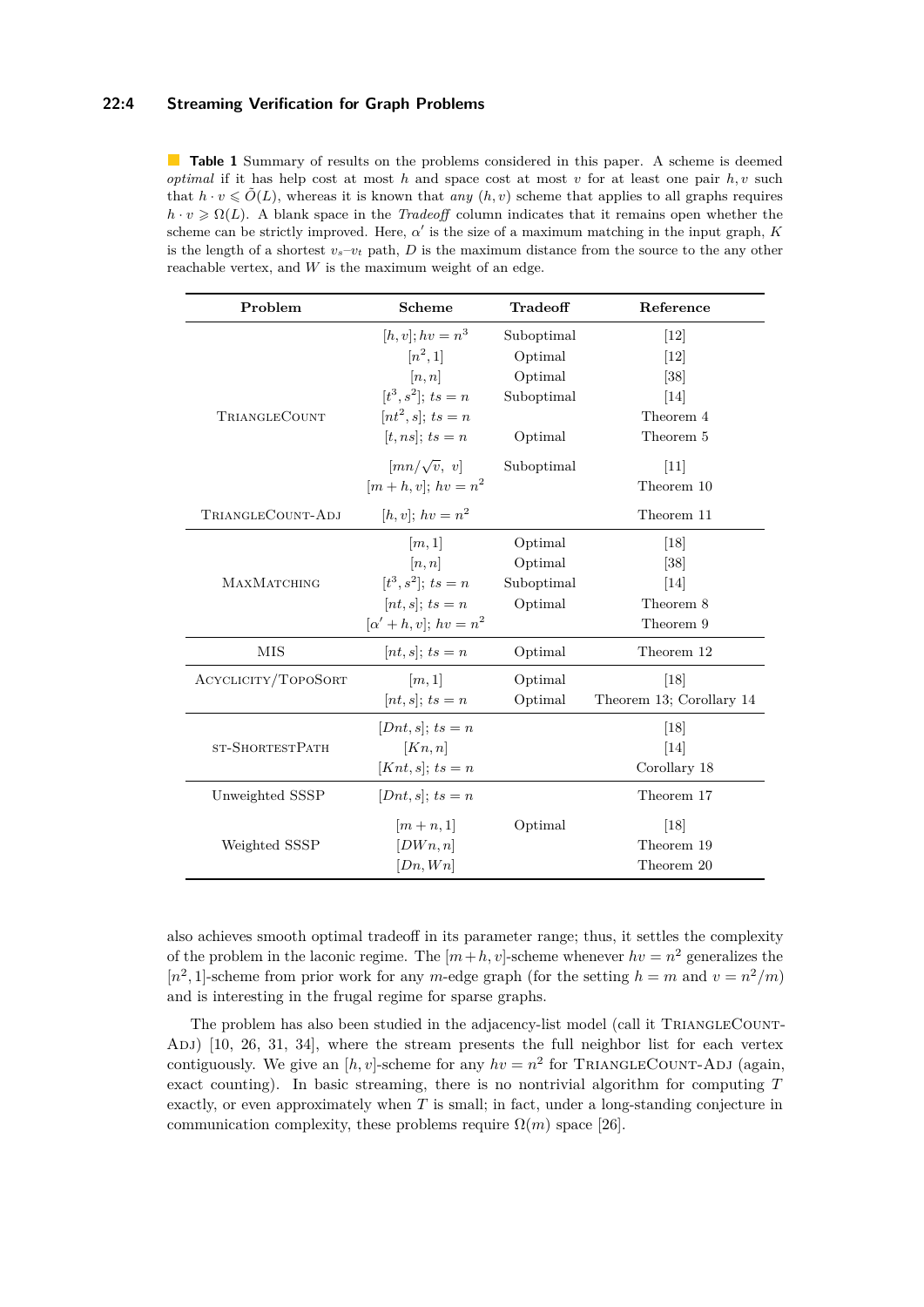# **22:4 Streaming Verification for Graph Problems**

<span id="page-3-0"></span>**Table 1** Summary of results on the problems considered in this paper. A scheme is deemed *optimal* if it has help cost at most *h* and space cost at most *v* for at least one pair  $h, v$  such that  $h \cdot v \leq \tilde{O}(L)$ , whereas it is known that *any*  $(h, v)$  scheme that applies to all graphs requires  $h \cdot v \geq \Omega(L)$ . A blank space in the *Tradeoff* column indicates that it remains open whether the scheme can be strictly improved. Here,  $\alpha'$  is the size of a maximum matching in the input graph,  $K$ is the length of a shortest  $v_s-v_t$  path, *D* is the maximum distance from the source to the any other reachable vertex, and *W* is the maximum weight of an edge.

| Problem             | <b>Scheme</b>                         | Tradeoff   | Reference                |
|---------------------|---------------------------------------|------------|--------------------------|
|                     | $[h, v]; hv = n^3$                    | Suboptimal | 12                       |
| TRIANGLECOUNT       | $[n^2,1]$                             | Optimal    | 12                       |
|                     | [n, n]                                | Optimal    | [38]                     |
|                     | $[t^3, s^2];$ $ts = n$                | Suboptimal | $[14]$                   |
|                     | $[nt^2, s]$ ; $ts = n$                |            | Theorem 4                |
|                     | $[t, ns]$ ; $ts = n$                  | Optimal    | Theorem 5                |
|                     | $\left[\frac{mn}{\sqrt{v}}, v\right]$ | Suboptimal | $[11]$                   |
|                     | $[m + h, v]; hv = n^2$                |            | Theorem 10               |
| TRIANGLECOUNT-ADJ   | $[h, v]; hv = n^2$                    |            | Theorem 11               |
| MAXMATCHING         | [m,1]                                 | Optimal    | $\left[18\right]$        |
|                     | [n, n]                                | Optimal    | $\left[38\right]$        |
|                     | $[t^3, s^2];$ $ts = n$                | Suboptimal | $\left[14\right]$        |
|                     | $[nt, s]$ ; $ts = n$                  | Optimal    | Theorem 8                |
|                     | $[\alpha' + h, v]; hv = n^2$          |            | Theorem 9                |
| MIS                 | $[nt, s];$ $ts = n$                   | Optimal    | Theorem 12               |
| ACYCLICITY/TOPOSORT | [m,1]                                 | Optimal    | [18]                     |
|                     | $[nt, s];$ $ts = n$                   | Optimal    | Theorem 13; Corollary 14 |
| ST-SHORTESTPATH     | $[Dnt, s]$ ; $ts = n$                 |            | [18]                     |
|                     | [Kn, n]                               |            | [14]                     |
|                     | $[Knt, s]; ts = n$                    |            | Corollary 18             |
| Unweighted SSSP     | $[Dnt, s]$ ; ts = n                   |            | Theorem 17               |
| Weighted SSSP       | $\left[m+n,1\right]$                  | Optimal    | $\left[18\right]$        |
|                     | $[DW_n, n]$                           |            | Theorem 19               |
|                     | [Dn, Wn]                              |            | Theorem 20               |

also achieves smooth optimal tradeoff in its parameter range; thus, it settles the complexity of the problem in the laconic regime. The  $[m+h, v]$ -scheme whenever  $hv = n^2$  generalizes the  $[n^2, 1]$ -scheme from prior work for any *m*-edge graph (for the setting  $h = m$  and  $v = n^2/m$ ) and is interesting in the frugal regime for sparse graphs.

The problem has also been studied in the adjacency-list model (call it TRIANGLECOUNT-ADJ) [\[10,](#page-16-7) [26,](#page-17-10) [31,](#page-17-11) [34\]](#page-17-7), where the stream presents the full neighbor list for each vertex contiguously. We give an  $[h, v]$ -scheme for any  $hv = n^2$  for TRIANGLECOUNT-ADJ (again, exact counting). In basic streaming, there is no nontrivial algorithm for computing *T* exactly, or even approximately when *T* is small; in fact, under a long-standing conjecture in communication complexity, these problems require  $\Omega(m)$  space [\[26\]](#page-17-10).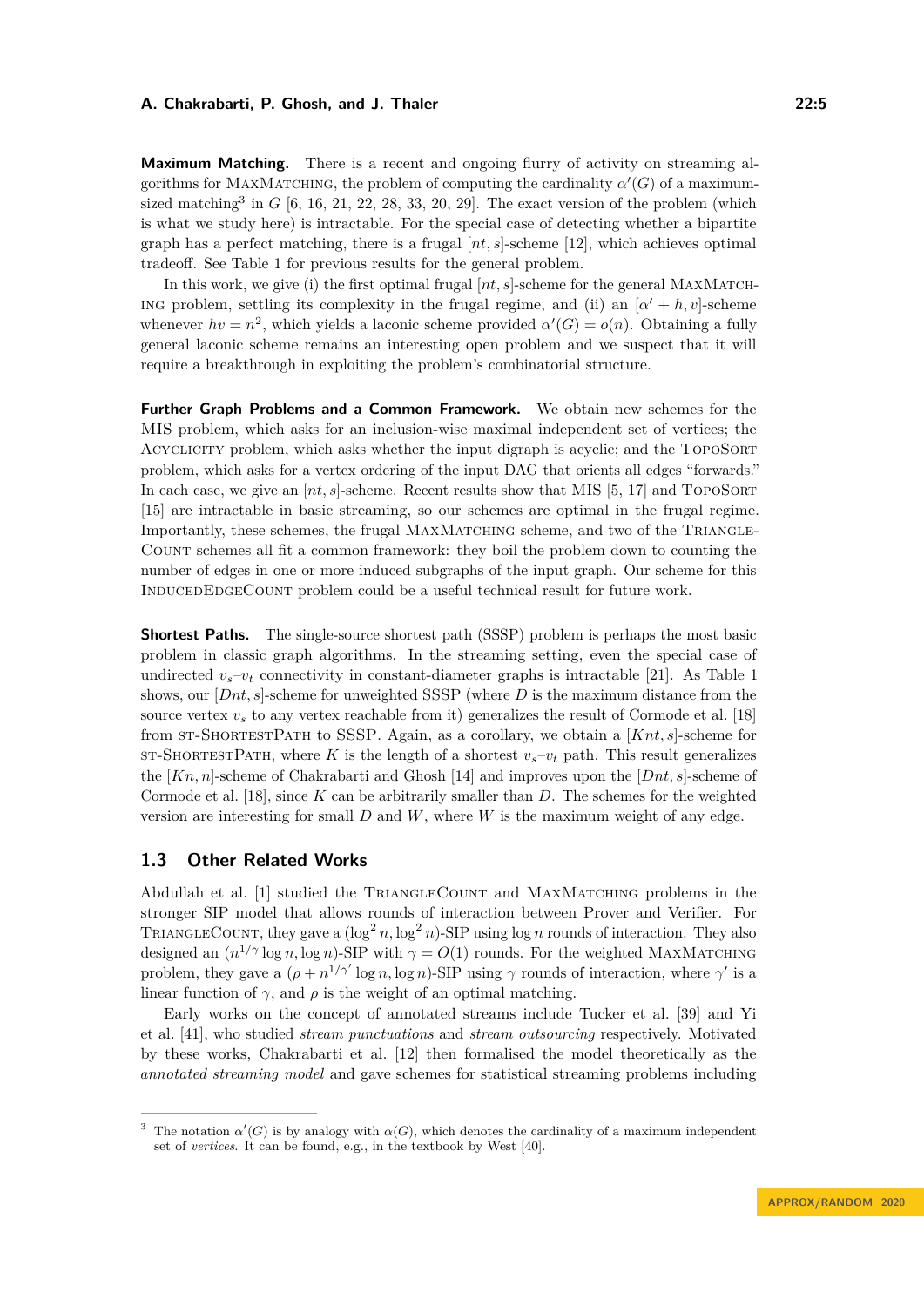**Maximum Matching.** There is a recent and ongoing flurry of activity on streaming algorithms for MAXMATCHING, the problem of computing the cardinality  $\alpha'(G)$  of a maximum-sized matching<sup>[3](#page-4-0)</sup> in  $G$  [\[6,](#page-16-9) [16,](#page-16-10) [21,](#page-17-12) [22,](#page-17-13) [28,](#page-17-14) [33,](#page-17-15) [20,](#page-17-16) [29\]](#page-17-17). The exact version of the problem (which is what we study here) is intractable. For the special case of detecting whether a bipartite graph has a perfect matching, there is a frugal [*nt, s*]-scheme [\[12\]](#page-16-2), which achieves optimal tradeoff. See Table [1](#page-3-0) for previous results for the general problem.

In this work, we give (i) the first optimal frugal  $[nt, s]$ -scheme for the general MAXMATCHing problem, settling its complexity in the frugal regime, and (ii) an  $[\alpha' + h, v]$ -scheme whenever  $hv = n^2$ , which yields a laconic scheme provided  $\alpha'(G) = o(n)$ . Obtaining a fully general laconic scheme remains an interesting open problem and we suspect that it will require a breakthrough in exploiting the problem's combinatorial structure.

**Further Graph Problems and a Common Framework.** We obtain new schemes for the MIS problem, which asks for an inclusion-wise maximal independent set of vertices; the ACYCLICITY problem, which asks whether the input digraph is acyclic; and the TOPOSORT problem, which asks for a vertex ordering of the input DAG that orients all edges "forwards." In each case, we give an  $[nt, s]$ -scheme. Recent results show that MIS [\[5,](#page-16-11) [17\]](#page-16-12) and TOPOSORT [\[15\]](#page-16-13) are intractable in basic streaming, so our schemes are optimal in the frugal regime. Importantly, these schemes, the frugal MAXMATCHING scheme, and two of the TRIANGLE-Count schemes all fit a common framework: they boil the problem down to counting the number of edges in one or more induced subgraphs of the input graph. Our scheme for this InducedEdgeCount problem could be a useful technical result for future work.

**Shortest Paths.** The single-source shortest path (SSSP) problem is perhaps the most basic problem in classic graph algorithms. In the streaming setting, even the special case of undirected  $v_s - v_t$  connectivity in constant-diameter graphs is intractable [\[21\]](#page-17-12). As Table [1](#page-3-0) shows, our [*Dnt, s*]-scheme for unweighted SSSP (where *D* is the maximum distance from the source vertex  $v<sub>s</sub>$  to any vertex reachable from it) generalizes the result of Cormode et al. [\[18\]](#page-17-9) from st-ShortestPath to SSSP. Again, as a corollary, we obtain a [*Knt, s*]-scheme for ST-SHORTESTPATH, where K is the length of a shortest  $v_s - v_t$  path. This result generalizes the [*Kn, n*]-scheme of Chakrabarti and Ghosh [\[14\]](#page-16-8) and improves upon the [*Dnt, s*]-scheme of Cormode et al. [\[18\]](#page-17-9), since *K* can be arbitrarily smaller than *D*. The schemes for the weighted version are interesting for small *D* and *W*, where *W* is the maximum weight of any edge.

# **1.3 Other Related Works**

Abdullah et al. [\[1\]](#page-16-14) studied the TRIANGLECOUNT and MAXMATCHING problems in the stronger SIP model that allows rounds of interaction between Prover and Verifier. For TRIANGLECOUNT, they gave a  $(\log^2 n, \log^2 n)$ -SIP using  $\log n$  rounds of interaction. They also designed an  $(n^{1/\gamma} \log n, \log n)$ -SIP with  $\gamma = O(1)$  rounds. For the weighted MAXMATCHING problem, they gave a  $(\rho + n^{1/\gamma'} \log n, \log n)$ -SIP using  $\gamma$  rounds of interaction, where  $\gamma'$  is a linear function of  $\gamma$ , and  $\rho$  is the weight of an optimal matching.

Early works on the concept of annotated streams include Tucker et al. [\[39\]](#page-18-0) and Yi et al. [\[41\]](#page-18-1), who studied *stream punctuations* and *stream outsourcing* respectively. Motivated by these works, Chakrabarti et al. [\[12\]](#page-16-2) then formalised the model theoretically as the *annotated streaming model* and gave schemes for statistical streaming problems including

<span id="page-4-0"></span><sup>&</sup>lt;sup>3</sup> The notation  $\alpha'(G)$  is by analogy with  $\alpha(G)$ , which denotes the cardinality of a maximum independent set of *vertices*. It can be found, e.g., in the textbook by West [\[40\]](#page-18-2).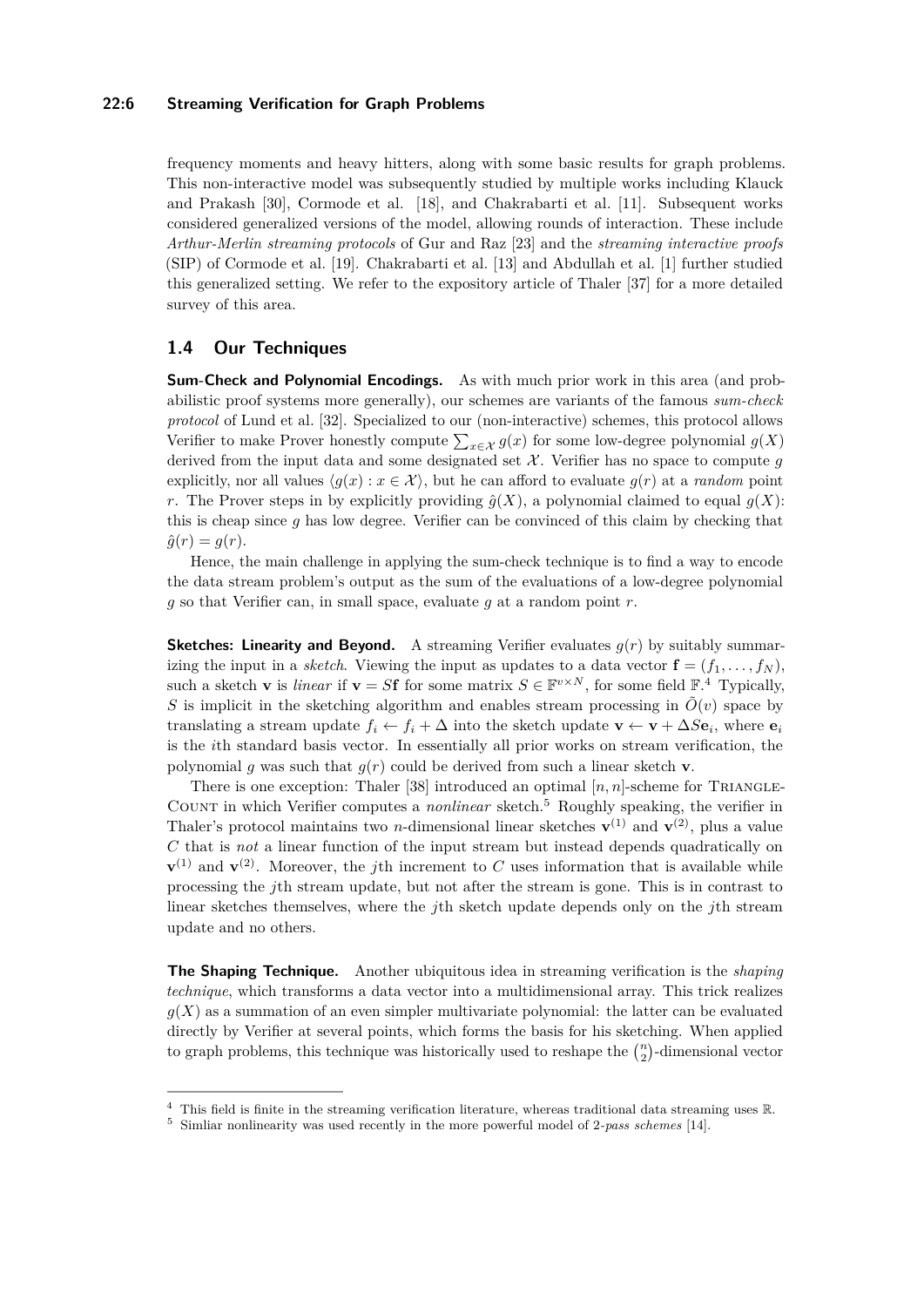# **22:6 Streaming Verification for Graph Problems**

frequency moments and heavy hitters, along with some basic results for graph problems. This non-interactive model was subsequently studied by multiple works including Klauck and Prakash [\[30\]](#page-17-2), Cormode et al. [\[18\]](#page-17-9), and Chakrabarti et al. [\[11\]](#page-16-3). Subsequent works considered generalized versions of the model, allowing rounds of interaction. These include *Arthur-Merlin streaming protocols* of Gur and Raz [\[23\]](#page-17-18) and the *streaming interactive proofs* (SIP) of Cormode et al. [\[19\]](#page-17-3). Chakrabarti et al. [\[13\]](#page-16-4) and Abdullah et al. [\[1\]](#page-16-14) further studied this generalized setting. We refer to the expository article of Thaler [\[37\]](#page-17-19) for a more detailed survey of this area.

# **1.4 Our Techniques**

**Sum-Check and Polynomial Encodings.** As with much prior work in this area (and probabilistic proof systems more generally), our schemes are variants of the famous *sum-check protocol* of Lund et al. [\[32\]](#page-17-20). Specialized to our (non-interactive) schemes, this protocol allows Verifier to make Prover honestly compute  $\sum_{x \in \mathcal{X}} g(x)$  for some low-degree polynomial  $g(X)$ derived from the input data and some designated set  $X$ . Verifier has no space to compute  $g$ explicitly, nor all values  $\langle g(x) : x \in \mathcal{X} \rangle$ , but he can afford to evaluate  $g(r)$  at a *random* point *r*. The Prover steps in by explicitly providing  $\hat{g}(X)$ , a polynomial claimed to equal  $g(X)$ : this is cheap since *g* has low degree. Verifier can be convinced of this claim by checking that  $\hat{q}(r) = q(r)$ .

Hence, the main challenge in applying the sum-check technique is to find a way to encode the data stream problem's output as the sum of the evaluations of a low-degree polynomial *g* so that Verifier can, in small space, evaluate *g* at a random point *r*.

**Sketches: Linearity and Beyond.** A streaming Verifier evaluates  $g(r)$  by suitably summarizing the input in a *sketch*. Viewing the input as updates to a data vector  $\mathbf{f} = (f_1, \ldots, f_N)$ , such a sketch **v** is *linear* if  $\mathbf{v} = S\mathbf{f}$  for some matrix  $S \in \mathbb{F}^{v \times N}$ , for some field  $\mathbb{F}^4$  $\mathbb{F}^4$ . Typically, *S* is implicit in the sketching algorithm and enables stream processing in  $\tilde{O}(v)$  space by translating a stream update  $f_i \leftarrow f_i + \Delta$  into the sketch update  $\mathbf{v} \leftarrow \mathbf{v} + \Delta S \mathbf{e}_i$ , where  $\mathbf{e}_i$ is the *i*th standard basis vector. In essentially all prior works on stream verification, the polynomial *q* was such that  $q(r)$  could be derived from such a linear sketch **v**.

There is one exception: Thaler [\[38\]](#page-17-8) introduced an optimal  $[n, n]$ -scheme for TRIANGLE-Count in which Verifier computes a *nonlinear* sketch.[5](#page-5-1) Roughly speaking, the verifier in Thaler's protocol maintains two *n*-dimensional linear sketches  $\mathbf{v}^{(1)}$  and  $\mathbf{v}^{(2)}$ , plus a value *C* that is *not* a linear function of the input stream but instead depends quadratically on  $\mathbf{v}^{(1)}$  and  $\mathbf{v}^{(2)}$ . Moreover, the *j*th increment to *C* uses information that is available while processing the *j*th stream update, but not after the stream is gone. This is in contrast to linear sketches themselves, where the *j*th sketch update depends only on the *j*th stream update and no others.

**The Shaping Technique.** Another ubiquitous idea in streaming verification is the *shaping technique*, which transforms a data vector into a multidimensional array. This trick realizes  $g(X)$  as a summation of an even simpler multivariate polynomial: the latter can be evaluated directly by Verifier at several points, which forms the basis for his sketching. When applied to graph problems, this technique was historically used to reshape the  $\binom{n}{2}$ -dimensional vector

<span id="page-5-0"></span> $4$  This field is finite in the streaming verification literature, whereas traditional data streaming uses  $\mathbb R$ .

<span id="page-5-1"></span><sup>5</sup> Simliar nonlinearity was used recently in the more powerful model of 2*-pass schemes* [\[14\]](#page-16-8).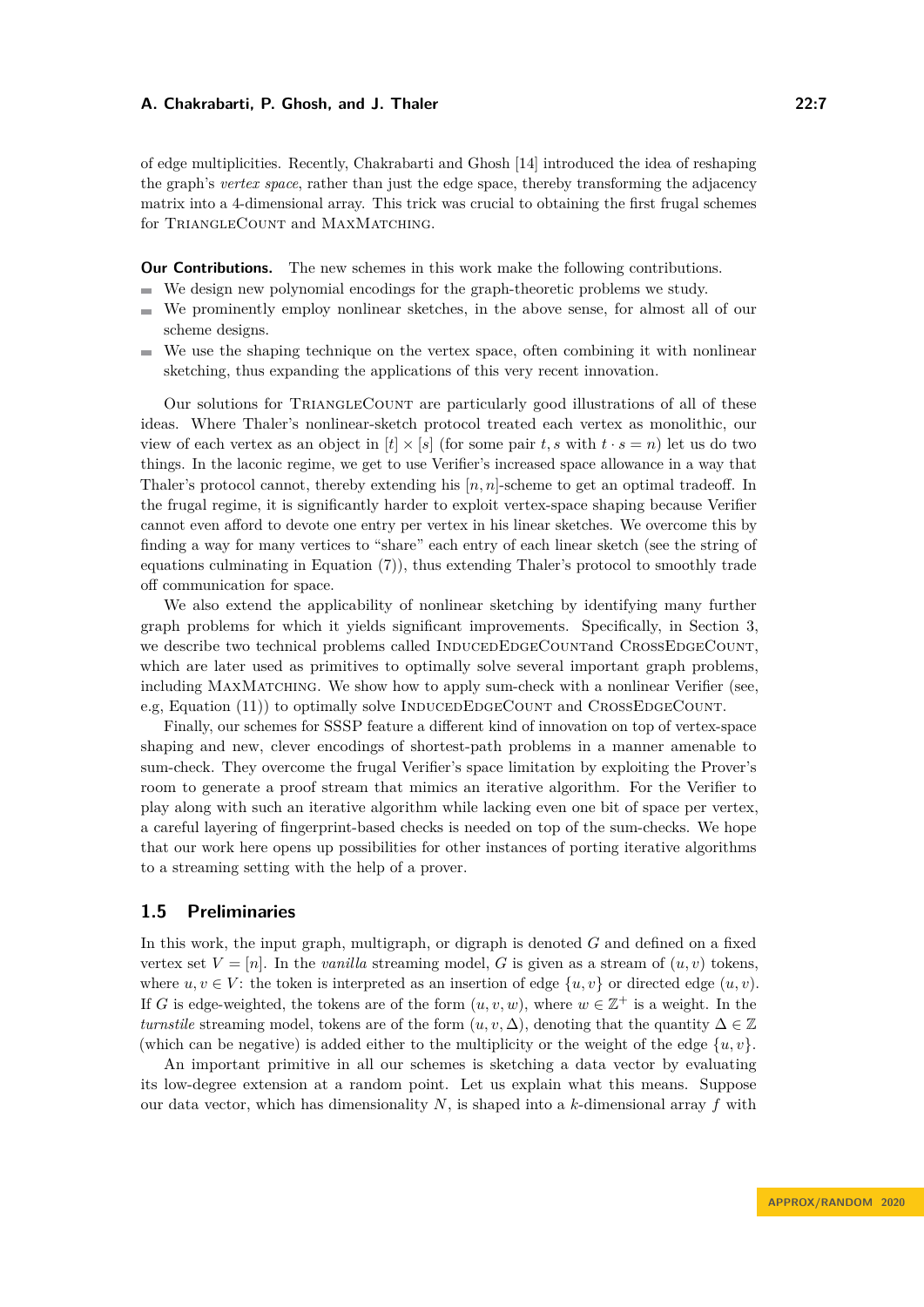of edge multiplicities. Recently, Chakrabarti and Ghosh [\[14\]](#page-16-8) introduced the idea of reshaping the graph's *vertex space*, rather than just the edge space, thereby transforming the adjacency matrix into a 4-dimensional array. This trick was crucial to obtaining the first frugal schemes for TRIANGLECOUNT and MAXMATCHING.

**Our Contributions.** The new schemes in this work make the following contributions.

- $\blacksquare$ We design new polynomial encodings for the graph-theoretic problems we study.
- We prominently employ nonlinear sketches, in the above sense, for almost all of our  $\equiv$ scheme designs.
- We use the shaping technique on the vertex space, often combining it with nonlinear  $\blacksquare$ sketching, thus expanding the applications of this very recent innovation.

Our solutions for TriangleCount are particularly good illustrations of all of these ideas. Where Thaler's nonlinear-sketch protocol treated each vertex as monolithic, our view of each vertex as an object in  $[t] \times [s]$  (for some pair  $t, s$  with  $t \cdot s = n$ ) let us do two things. In the laconic regime, we get to use Verifier's increased space allowance in a way that Thaler's protocol cannot, thereby extending his [*n, n*]-scheme to get an optimal tradeoff. In the frugal regime, it is significantly harder to exploit vertex-space shaping because Verifier cannot even afford to devote one entry per vertex in his linear sketches. We overcome this by finding a way for many vertices to "share" each entry of each linear sketch (see the string of equations culminating in Equation [\(7\)](#page-9-0)), thus extending Thaler's protocol to smoothly trade off communication for space.

We also extend the applicability of nonlinear sketching by identifying many further graph problems for which it yields significant improvements. Specifically, in Section [3,](#page-10-0) we describe two technical problems called INDUCEDEDGECOUNTand CROSSEDGECOUNT, which are later used as primitives to optimally solve several important graph problems, including MaxMatching. We show how to apply sum-check with a nonlinear Verifier (see, e.g, Equation  $(11)$ ) to optimally solve INDUCEDEDGECOUNT and CROSSEDGECOUNT.

Finally, our schemes for SSSP feature a different kind of innovation on top of vertex-space shaping and new, clever encodings of shortest-path problems in a manner amenable to sum-check. They overcome the frugal Verifier's space limitation by exploiting the Prover's room to generate a proof stream that mimics an iterative algorithm. For the Verifier to play along with such an iterative algorithm while lacking even one bit of space per vertex, a careful layering of fingerprint-based checks is needed on top of the sum-checks. We hope that our work here opens up possibilities for other instances of porting iterative algorithms to a streaming setting with the help of a prover.

# <span id="page-6-0"></span>**1.5 Preliminaries**

In this work, the input graph, multigraph, or digraph is denoted *G* and defined on a fixed vertex set  $V = [n]$ . In the *vanilla* streaming model, *G* is given as a stream of  $(u, v)$  tokens, where  $u, v \in V$ : the token is interpreted as an insertion of edge  $\{u, v\}$  or directed edge  $(u, v)$ . If *G* is edge-weighted, the tokens are of the form  $(u, v, w)$ , where  $w \in \mathbb{Z}^+$  is a weight. In the *turnstile* streaming model, tokens are of the form  $(u, v, \Delta)$ , denoting that the quantity  $\Delta \in \mathbb{Z}$ (which can be negative) is added either to the multiplicity or the weight of the edge  $\{u, v\}$ .

An important primitive in all our schemes is sketching a data vector by evaluating its low-degree extension at a random point. Let us explain what this means. Suppose our data vector, which has dimensionality *N*, is shaped into a *k*-dimensional array *f* with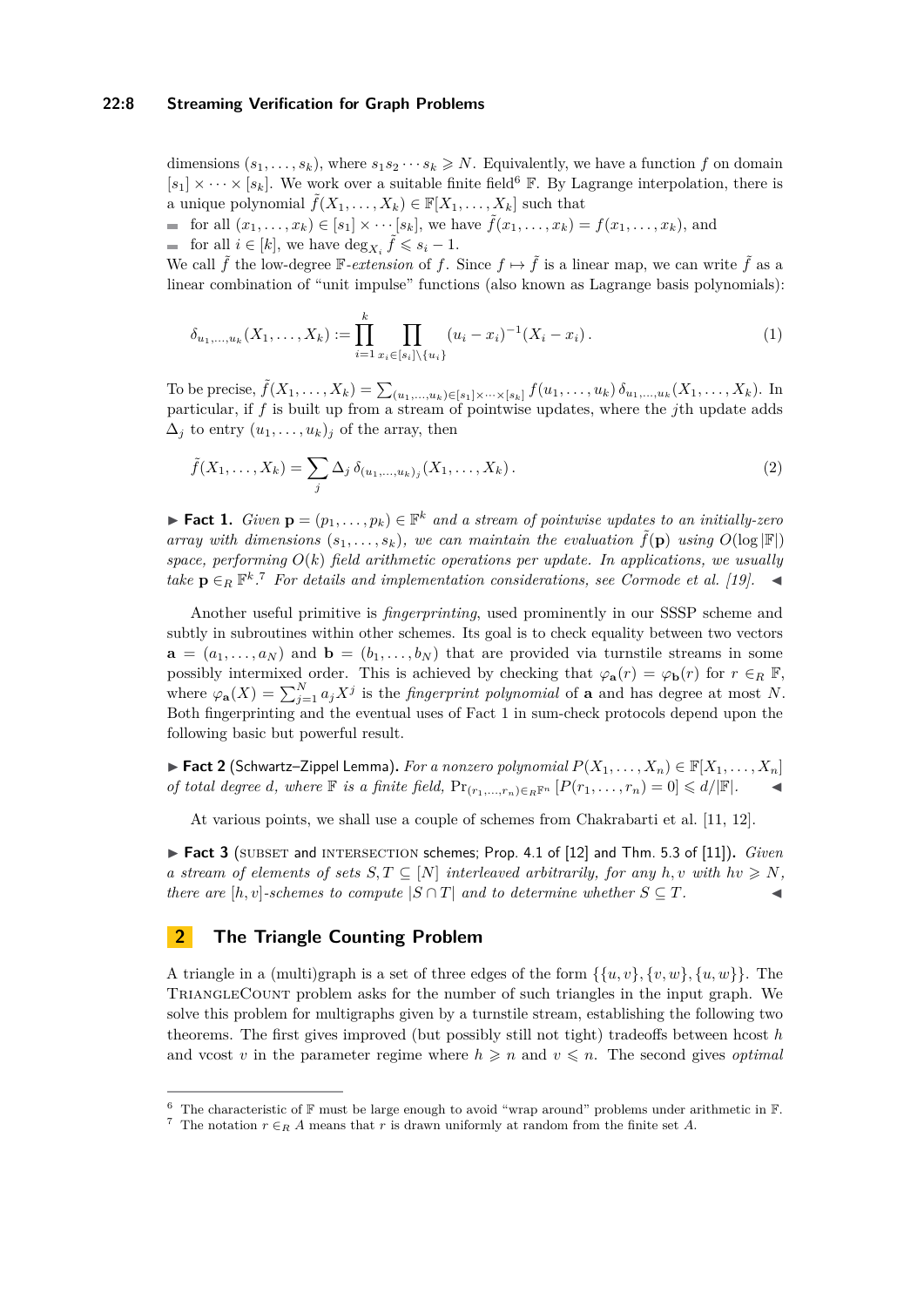# **22:8 Streaming Verification for Graph Problems**

dimensions  $(s_1, \ldots, s_k)$ , where  $s_1 s_2 \cdots s_k \geq N$ . Equivalently, we have a function *f* on domain  $[s_1] \times \cdots \times [s_k]$ . We work over a suitable finite field<sup>[6](#page-7-0)</sup> F. By Lagrange interpolation, there is a unique polynomial  $\tilde{f}(X_1, \ldots, X_k) \in \mathbb{F}[X_1, \ldots, X_k]$  such that

for all  $(x_1, \ldots, x_k) \in [s_1] \times \cdots [s_k]$ , we have  $\tilde{f}(x_1, \ldots, x_k) = f(x_1, \ldots, x_k)$ , and for all  $i \in [k]$ , we have  $\deg_{X_i} \tilde{f} \leqslant s_i - 1$ .

We call  $\tilde{f}$  the low-degree  $\mathbb{F}-extension$  of  $f$ . Since  $f \mapsto \tilde{f}$  is a linear map, we can write  $\tilde{f}$  as a linear combination of "unit impulse" functions (also known as Lagrange basis polynomials):

<span id="page-7-4"></span>
$$
\delta_{u_1,\dots,u_k}(X_1,\dots,X_k) := \prod_{i=1}^k \prod_{x_i \in [s_i] \setminus \{u_i\}} (u_i - x_i)^{-1} (X_i - x_i).
$$
\n(1)

To be precise,  $\tilde{f}(X_1, ..., X_k) = \sum_{(u_1, ..., u_k) \in [s_1] \times ... \times [s_k]} f(u_1, ..., u_k) \delta_{u_1, ..., u_k}(X_1, ..., X_k)$ . In particular, if *f* is built up from a stream of pointwise updates, where the *j*th update adds  $\Delta_i$  to entry  $(u_1, \ldots, u_k)_i$  of the array, then

$$
\tilde{f}(X_1, \dots, X_k) = \sum_j \Delta_j \, \delta_{(u_1, \dots, u_k)_j}(X_1, \dots, X_k).
$$
\n(2)

<span id="page-7-2"></span>▶ **Fact 1.** *Given*  $\mathbf{p} = (p_1, \ldots, p_k) \in \mathbb{F}^k$  *and a stream of pointwise updates to an initially-zero array with dimensions*  $(s_1, \ldots, s_k)$ *, we can maintain the evaluation*  $\tilde{f}(\mathbf{p})$  *using*  $O(\log |\mathbb{F}|)$ *space, performing*  $O(k)$  *field arithmetic operations per update. In applications, we usually take*  $\mathbf{p} \in_R \mathbb{F}^k$ .<sup>[7](#page-7-1)</sup> *For details and implementation considerations, see Cormode et al. [\[19\]](#page-17-3).* 

Another useful primitive is *fingerprinting*, used prominently in our SSSP scheme and subtly in subroutines within other schemes. Its goal is to check equality between two vectors  $\mathbf{a} = (a_1, \ldots, a_N)$  and  $\mathbf{b} = (b_1, \ldots, b_N)$  that are provided via turnstile streams in some possibly intermixed order. This is achieved by checking that  $\varphi_{\bf a}(r) = \varphi_{\bf b}(r)$  for  $r \in_R \mathbb{F}$ , where  $\varphi_{\bf a}(X) = \sum_{j=1}^N a_j X^j$  is the *fingerprint polynomial* of **a** and has degree at most *N*. Both fingerprinting and the eventual uses of Fact [1](#page-7-2) in sum-check protocols depend upon the following basic but powerful result.

<span id="page-7-3"></span>▶ **Fact 2** (Schwartz–Zippel Lemma). *For a nonzero polynomial*  $P(X_1, \ldots, X_n) \in \mathbb{F}[X_1, \ldots, X_n]$ *of total degree d, where*  $\mathbb F$  *is a finite field,*  $Pr_{(r_1,...,r_n)\in_R\mathbb F^n} [P(r_1,...,r_n)=0] \leq d/|\mathbb F|$ *.* 

At various points, we shall use a couple of schemes from Chakrabarti et al. [\[11,](#page-16-3) [12\]](#page-16-2).

<span id="page-7-6"></span> $\triangleright$  Fact 3 (SUBSET and INTERSECTION schemes; Prop. 4.1 of [\[12\]](#page-16-2) and Thm. 5.3 of [\[11\]](#page-16-3)). *Given a* stream of elements of sets  $S, T \subseteq [N]$  interleaved arbitrarily, for any  $h, v$  with  $hv \geq N$ , *there are*  $[h, v]$ *-schemes to compute*  $|S \cap T|$  *and to determine whether*  $S \subseteq T$ *.* 

# <span id="page-7-5"></span>**2 The Triangle Counting Problem**

A triangle in a (multi)graph is a set of three edges of the form  $\{\{u, v\}, \{v, w\}, \{u, w\}\}\$ . The TriangleCount problem asks for the number of such triangles in the input graph. We solve this problem for multigraphs given by a turnstile stream, establishing the following two theorems. The first gives improved (but possibly still not tight) tradeoffs between hcost *h* and vcost *v* in the parameter regime where  $h \geq n$  and  $v \leq n$ . The second gives *optimal* 

<span id="page-7-0"></span><sup>&</sup>lt;sup>6</sup> The characteristic of  $\mathbb F$  must be large enough to avoid "wrap around" problems under arithmetic in  $\mathbb F$ .

<span id="page-7-1"></span><sup>&</sup>lt;sup>7</sup> The notation  $r \in_R A$  means that *r* is drawn uniformly at random from the finite set *A*.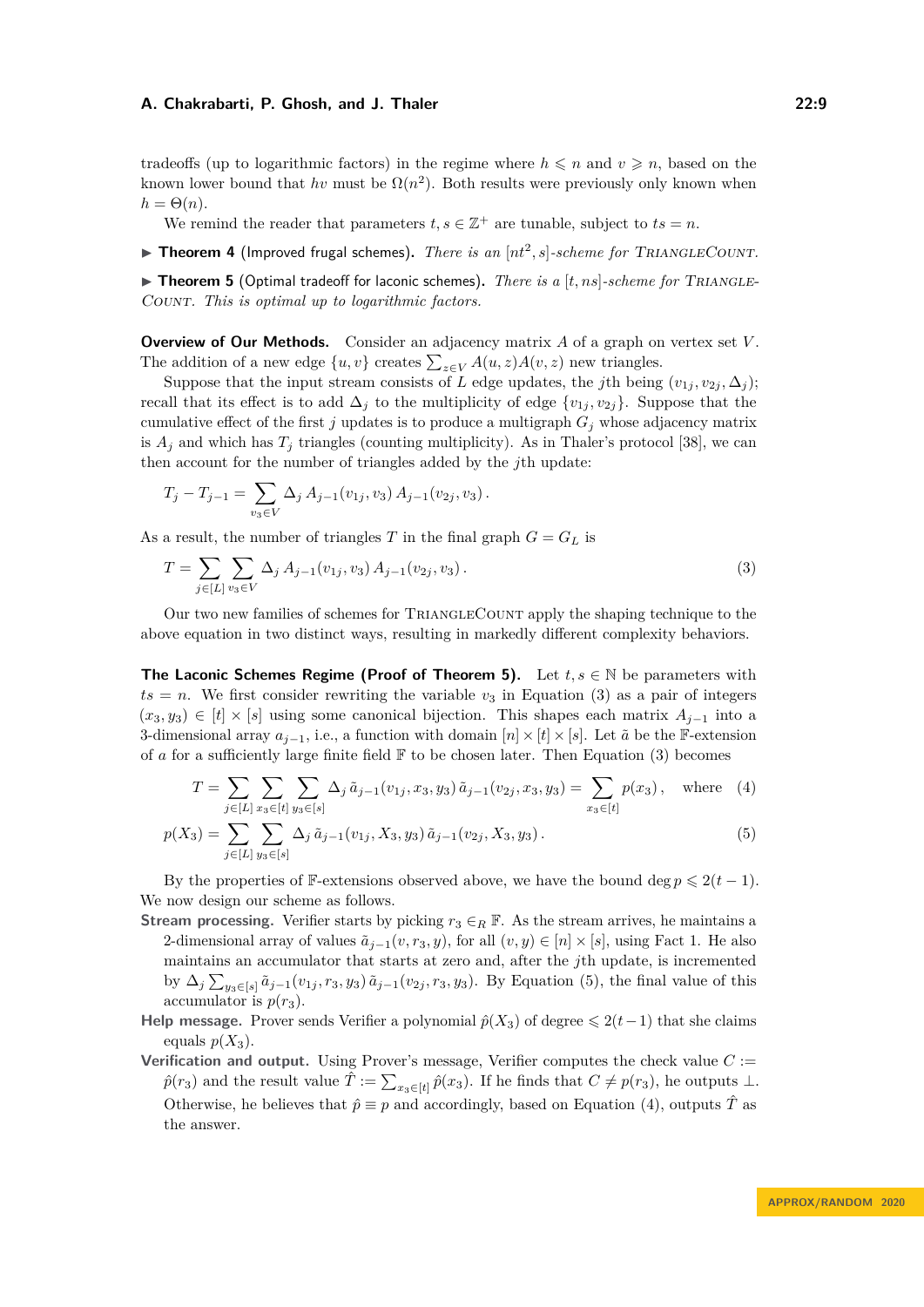tradeoffs (up to logarithmic factors) in the regime where  $h \leq n$  and  $v \geq n$ , based on the known lower bound that  $hv$  must be  $\Omega(n^2)$ . Both results were previously only known when  $h = \Theta(n)$ .

We remind the reader that parameters  $t, s \in \mathbb{Z}^+$  are tunable, subject to  $ts = n$ .

<span id="page-8-0"></span> $\blacktriangleright$  **Theorem 4** (Improved frugal schemes). *There is an*  $[nt^2, s]$ -scheme for TRIANGLECOUNT.

<span id="page-8-1"></span> $\triangleright$  **Theorem 5** (Optimal tradeoff for laconic schemes). *There is a* [ $t, ns$ ]*-scheme for* TRIANGLE-Count*. This is optimal up to logarithmic factors.*

**Overview of Our Methods.** Consider an adjacency matrix *A* of a graph on vertex set *V* . The addition of a new edge  $\{u, v\}$  creates  $\sum_{z \in V} A(u, z)A(v, z)$  new triangles.

Suppose that the input stream consists of *L* edge updates, the *j*th being  $(v_{1j}, v_{2j}, \Delta_j)$ ; recall that its effect is to add  $\Delta_i$  to the multiplicity of edge  $\{v_{1j}, v_{2j}\}$ . Suppose that the cumulative effect of the first  $j$  updates is to produce a multigraph  $G_j$  whose adjacency matrix is  $A_j$  and which has  $T_j$  triangles (counting multiplicity). As in Thaler's protocol [\[38\]](#page-17-8), we can then account for the number of triangles added by the *j*th update:

$$
T_j - T_{j-1} = \sum_{v_3 \in V} \Delta_j A_{j-1}(v_{1j}, v_3) A_{j-1}(v_{2j}, v_3).
$$

As a result, the number of triangles *T* in the final graph  $G = G_L$  is

<span id="page-8-2"></span>
$$
T = \sum_{j \in [L]} \sum_{v_3 \in V} \Delta_j A_{j-1}(v_{1j}, v_3) A_{j-1}(v_{2j}, v_3).
$$
 (3)

Our two new families of schemes for TriangleCount apply the shaping technique to the above equation in two distinct ways, resulting in markedly different complexity behaviors.

**The Laconic Schemes Regime (Proof of Theorem [5\)](#page-8-1).** Let  $t, s \in \mathbb{N}$  be parameters with  $ts = n$ . We first consider rewriting the variable  $v_3$  in Equation [\(3\)](#page-8-2) as a pair of integers  $(x_3, y_3)$  ∈  $[t] \times [s]$  using some canonical bijection. This shapes each matrix  $A_{j-1}$  into a 3-dimensional array  $a_{i-1}$ , i.e., a function with domain  $[n] \times [t] \times [s]$ . Let  $\tilde{a}$  be the F-extension of *a* for a sufficiently large finite field  $\mathbb F$  to be chosen later. Then Equation [\(3\)](#page-8-2) becomes

<span id="page-8-4"></span><span id="page-8-3"></span>
$$
T = \sum_{j \in [L]} \sum_{x_3 \in [t]} \sum_{y_3 \in [s]} \Delta_j \tilde{a}_{j-1}(v_{1j}, x_3, y_3) \tilde{a}_{j-1}(v_{2j}, x_3, y_3) = \sum_{x_3 \in [t]} p(x_3), \text{ where } (4)
$$

$$
p(X_3) = \sum_{j \in [L]} \sum_{y_3 \in [s]} \Delta_j \, \tilde{a}_{j-1}(v_{1j}, X_3, y_3) \, \tilde{a}_{j-1}(v_{2j}, X_3, y_3) \,. \tag{5}
$$

By the properties of F-extensions observed above, we have the bound deg  $p \leq 2(t-1)$ . We now design our scheme as follows.

**Stream processing.** Verifier starts by picking  $r_3 \in_R \mathbb{F}$ . As the stream arrives, he maintains a 2-dimensional array of values  $\tilde{a}_{j-1}(v,r_3,y)$ , for all  $(v,y) \in [n] \times [s]$ , using Fact [1.](#page-7-2) He also maintains an accumulator that starts at zero and, after the *j*th update, is incremented by  $\Delta_j \sum_{y_3 \in [s]} \tilde{a}_{j-1}(v_{1j}, r_3, y_3) \tilde{a}_{j-1}(v_{2j}, r_3, y_3)$ . By Equation [\(5\)](#page-8-3), the final value of this accumulator is  $p(r_3)$ .

**Help message.** Prover sends Verifier a polynomial  $\hat{p}(X_3)$  of degree  $\leq 2(t-1)$  that she claims equals  $p(X_3)$ .

**Verification and output.** Using Prover's message, Verifier computes the check value  $C :=$  $\hat{p}(r_3)$  and the result value  $\hat{T} := \sum_{x_3 \in [t]} \hat{p}(x_3)$ . If he finds that  $C \neq p(r_3)$ , he outputs ⊥. Otherwise, he believes that  $\hat{p} \equiv p$  and accordingly, based on Equation [\(4\)](#page-8-4), outputs  $\hat{T}$  as the answer.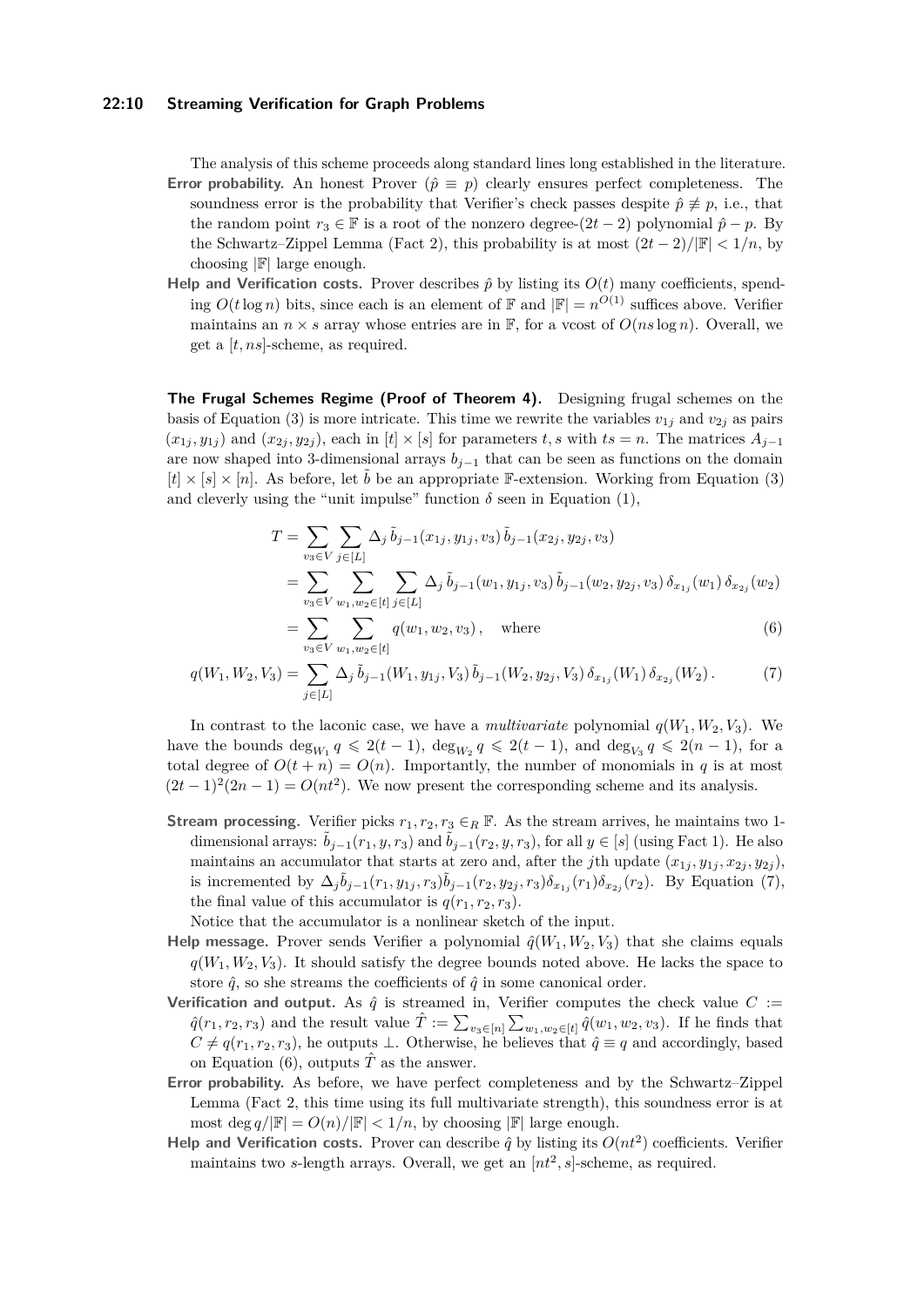### **22:10 Streaming Verification for Graph Problems**

The analysis of this scheme proceeds along standard lines long established in the literature. **Error probability.** An honest Prover  $(\hat{p} \equiv p)$  clearly ensures perfect completeness. The soundness error is the probability that Verifier's check passes despite  $\hat{p} \not\equiv p$ , i.e., that the random point  $r_3 \in \mathbb{F}$  is a root of the nonzero degree- $(2t - 2)$  polynomial  $\hat{p} - p$ . By the Schwartz–Zippel Lemma (Fact [2\)](#page-7-3), this probability is at most  $(2t-2)/\mathbb{F}| < 1/n$ , by choosing  $\mathbb{F}$  large enough.

**Help and Verification costs.** Prover describes  $\hat{p}$  by listing its  $O(t)$  many coefficients, spending  $O(t \log n)$  bits, since each is an element of  $\mathbb{F}$  and  $|\mathbb{F}| = n^{O(1)}$  suffices above. Verifier maintains an  $n \times s$  array whose entries are in  $\mathbb{F}$ , for a vcost of  $O(ns \log n)$ . Overall, we get a [*t, ns*]-scheme, as required.

**The Frugal Schemes Regime (Proof of Theorem [4\)](#page-8-0).** Designing frugal schemes on the basis of Equation [\(3\)](#page-8-2) is more intricate. This time we rewrite the variables  $v_{1j}$  and  $v_{2j}$  as pairs  $(x_{1i}, y_{1i})$  and  $(x_{2i}, y_{2i})$ , each in  $[t] \times [s]$  for parameters *t*, *s* with  $ts = n$ . The matrices  $A_{i-1}$ are now shaped into 3-dimensional arrays  $b_{j-1}$  that can be seen as functions on the domain  $[t] \times [s] \times [n]$ . As before, let  $\tilde{b}$  be an appropriate F-extension. Working from Equation [\(3\)](#page-8-2) and cleverly using the "unit impulse" function  $\delta$  seen in Equation [\(1\)](#page-7-4),

<span id="page-9-1"></span><span id="page-9-0"></span>
$$
T = \sum_{v_3 \in V} \sum_{j \in [L]} \Delta_j \, \tilde{b}_{j-1}(x_{1j}, y_{1j}, v_3) \, \tilde{b}_{j-1}(x_{2j}, y_{2j}, v_3)
$$
  
\n
$$
= \sum_{v_3 \in V} \sum_{w_1, w_2 \in [t]} \sum_{j \in [L]} \Delta_j \, \tilde{b}_{j-1}(w_1, y_{1j}, v_3) \, \tilde{b}_{j-1}(w_2, y_{2j}, v_3) \, \delta_{x_{1j}}(w_1) \, \delta_{x_{2j}}(w_2)
$$
  
\n
$$
= \sum_{v_3 \in V} \sum_{w_1, w_2 \in [t]} q(w_1, w_2, v_3), \quad \text{where}
$$
 (6)

$$
q(W_1, W_2, V_3) = \sum_{j \in [L]} \Delta_j \, \tilde{b}_{j-1}(W_1, y_{1j}, V_3) \, \tilde{b}_{j-1}(W_2, y_{2j}, V_3) \, \delta_{x_{1j}}(W_1) \, \delta_{x_{2j}}(W_2). \tag{7}
$$

In contrast to the laconic case, we have a *multivariate* polynomial  $q(W_1, W_2, V_3)$ . We have the bounds  $\deg_{W_1} q \leq 2(t-1)$ ,  $\deg_{W_2} q \leq 2(t-1)$ , and  $\deg_{V_3} q \leq 2(n-1)$ , for a total degree of  $O(t + n) = O(n)$ . Importantly, the number of monomials in *q* is at most  $(2t-1)^2(2n-1) = O(nt^2)$ . We now present the corresponding scheme and its analysis.

**Stream processing.** Verifier picks  $r_1, r_2, r_3 \in_R \mathbb{F}$ . As the stream arrives, he maintains two 1dimensional arrays:  $\tilde{b}_{i-1}(r_1, y, r_3)$  and  $\tilde{b}_{i-1}(r_2, y, r_3)$ , for all  $y \in [s]$  (using Fact [1\)](#page-7-2). He also maintains an accumulator that starts at zero and, after the *j*th update  $(x_{1j}, y_{1j}, x_{2j}, y_{2j})$ , is incremented by  $\Delta_j \tilde{b}_{j-1}(r_1, y_{1j}, r_3) \tilde{b}_{j-1}(r_2, y_{2j}, r_3) \delta_{x_{1j}}(r_1) \delta_{x_{2j}}(r_2)$ . By Equation [\(7\)](#page-9-0), the final value of this accumulator is  $q(r_1, r_2, r_3)$ .

Notice that the accumulator is a nonlinear sketch of the input.

- **Help message.** Prover sends Verifier a polynomial  $\hat{q}(W_1, W_2, V_3)$  that she claims equals  $q(W_1, W_2, V_3)$ . It should satisfy the degree bounds noted above. He lacks the space to store  $\hat{q}$ , so she streams the coefficients of  $\hat{q}$  in some canonical order.
- **Verification and output.** As  $\hat{q}$  is streamed in, Verifier computes the check value  $C$  :=  $\hat{q}(r_1, r_2, r_3)$  and the result value  $\hat{T} := \sum_{v_3 \in [n]} \sum_{w_1, w_2 \in [t]} \hat{q}(w_1, w_2, v_3)$ . If he finds that  $C \neq q(r_1, r_2, r_3)$ , he outputs ⊥. Otherwise, he believes that  $\hat{q} \equiv q$  and accordingly, based on Equation [\(6\)](#page-9-1), outputs  $\hat{T}$  as the answer.
- **Error probability.** As before, we have perfect completeness and by the Schwartz–Zippel Lemma (Fact [2,](#page-7-3) this time using its full multivariate strength), this soundness error is at most deg  $q/|\mathbb{F}| = O(n)/|\mathbb{F}| < 1/n$ , by choosing  $|\mathbb{F}|$  large enough.
- **Help and Verification costs.** Prover can describe  $\hat{q}$  by listing its  $O(nt^2)$  coefficients. Verifier maintains two *s*-length arrays. Overall, we get an  $[nt^2, s]$ -scheme, as required.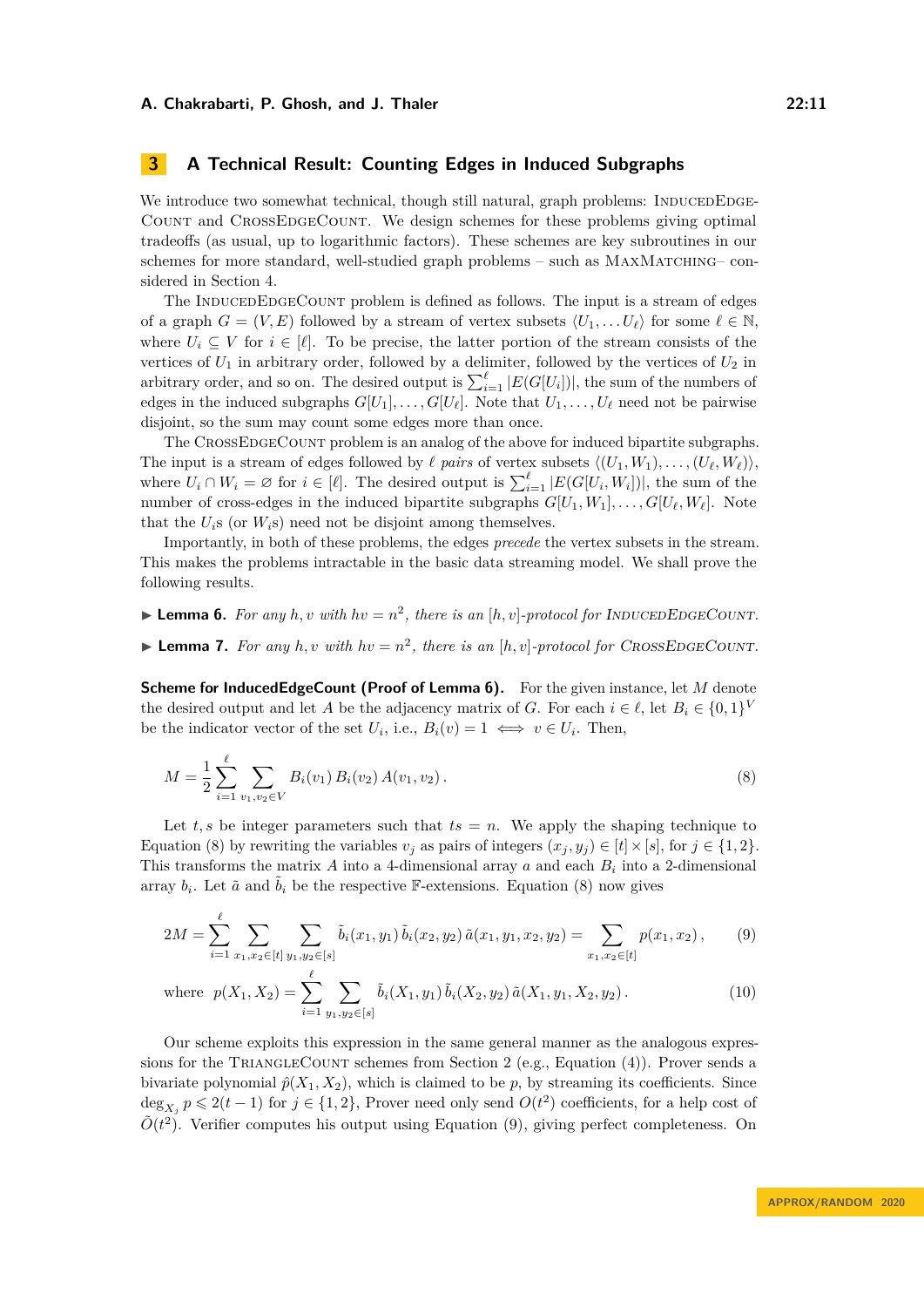# <span id="page-10-0"></span>**3 A Technical Result: Counting Edges in Induced Subgraphs**

We introduce two somewhat technical, though still natural, graph problems: INDUCEDEDGE-Count and CrossEdgeCount. We design schemes for these problems giving optimal tradeoffs (as usual, up to logarithmic factors). These schemes are key subroutines in our schemes for more standard, well-studied graph problems – such as MAXMATCHING– considered in Section [4.](#page-11-1)

The INDUCEDEDGECOUNT problem is defined as follows. The input is a stream of edges of a graph  $G = (V, E)$  followed by a stream of vertex subsets  $\langle U_1, \ldots, U_\ell \rangle$  for some  $\ell \in \mathbb{N}$ , where  $U_i \subseteq V$  for  $i \in [\ell]$ . To be precise, the latter portion of the stream consists of the vertices of  $U_1$  in arbitrary order, followed by a delimiter, followed by the vertices of  $U_2$  in arbitrary order, and so on. The desired output is  $\sum_{i=1}^{\ell} |E(G[U_i])|$ , the sum of the numbers of edges in the induced subgraphs  $G[U_1], \ldots, G[U_\ell]$ . Note that  $U_1, \ldots, U_\ell$  need not be pairwise disjoint, so the sum may count some edges more than once.

The CrossEdgeCount problem is an analog of the above for induced bipartite subgraphs. The input is a stream of edges followed by  $\ell$  *pairs* of vertex subsets  $\langle (U_1, W_1), \ldots, (U_\ell, W_\ell) \rangle$ , where  $U_i \cap W_i = \emptyset$  for  $i \in [\ell]$ . The desired output is  $\sum_{i=1}^{\ell} |E(G[U_i, W_i])|$ , the sum of the number of cross-edges in the induced bipartite subgraphs  $G[U_1, W_1], \ldots, G[U_\ell, W_\ell]$ . Note that the  $U_i$ s (or  $W_i$ s) need not be disjoint among themselves.

Importantly, in both of these problems, the edges *precede* the vertex subsets in the stream. This makes the problems intractable in the basic data streaming model. We shall prove the following results.

<span id="page-10-1"></span>**• Lemma 6.** For any  $h, v$  with  $hv = n^2$ , there is an  $[h, v]$ -protocol for INDUCEDEDGECOUNT.

<span id="page-10-5"></span>**Example 7.** For any  $h, v$  with  $hv = n^2$ , there is an  $[h, v]$ -protocol for CROSSEDGECOUNT.

**Scheme for InducedEdgeCount (Proof of Lemma [6\)](#page-10-1).** For the given instance, let *M* denote the desired output and let *A* be the adjacency matrix of *G*. For each  $i \in \ell$ , let  $B_i \in \{0,1\}^V$ be the indicator vector of the set  $U_i$ , i.e.,  $B_i(v) = 1 \iff v \in U_i$ . Then,

<span id="page-10-2"></span>
$$
M = \frac{1}{2} \sum_{i=1}^{\ell} \sum_{v_1, v_2 \in V} B_i(v_1) B_i(v_2) A(v_1, v_2).
$$
 (8)

Let  $t, s$  be integer parameters such that  $ts = n$ . We apply the shaping technique to Equation [\(8\)](#page-10-2) by rewriting the variables  $v_j$  as pairs of integers  $(x_j, y_j) \in [t] \times [s]$ , for  $j \in \{1, 2\}$ . This transforms the matrix  $A$  into a 4-dimensional array  $a$  and each  $B_i$  into a 2-dimensional array  $b_i$ . Let  $\tilde{a}$  and  $\tilde{b}_i$  be the respective F-extensions. Equation [\(8\)](#page-10-2) now gives

<span id="page-10-3"></span>
$$
2M = \sum_{i=1}^{\ell} \sum_{x_1, x_2 \in [t]} \sum_{y_1, y_2 \in [s]} \tilde{b}_i(x_1, y_1) \tilde{b}_i(x_2, y_2) \tilde{a}(x_1, y_1, x_2, y_2) = \sum_{x_1, x_2 \in [t]} p(x_1, x_2), \qquad (9)
$$

<span id="page-10-4"></span>where 
$$
p(X_1, X_2) = \sum_{i=1}^{k} \sum_{y_1, y_2 \in [s]} \tilde{b}_i(X_1, y_1) \tilde{b}_i(X_2, y_2) \tilde{a}(X_1, y_1, X_2, y_2).
$$
 (10)

Our scheme exploits this expression in the same general manner as the analogous expres-sions for the TRIANGLECOUNT schemes from Section [2](#page-7-5) (e.g., Equation [\(4\)](#page-8-4)). Prover sends a bivariate polynomial  $\hat{p}(X_1, X_2)$ , which is claimed to be *p*, by streaming its coefficients. Since  $\deg_{X_j} p \leq 2(t-1)$  for  $j \in \{1,2\}$ , Prover need only send  $O(t^2)$  coefficients, for a help cost of  $\tilde{O}(t^2)$ . Verifier computes his output using Equation [\(9\)](#page-10-3), giving perfect completeness. On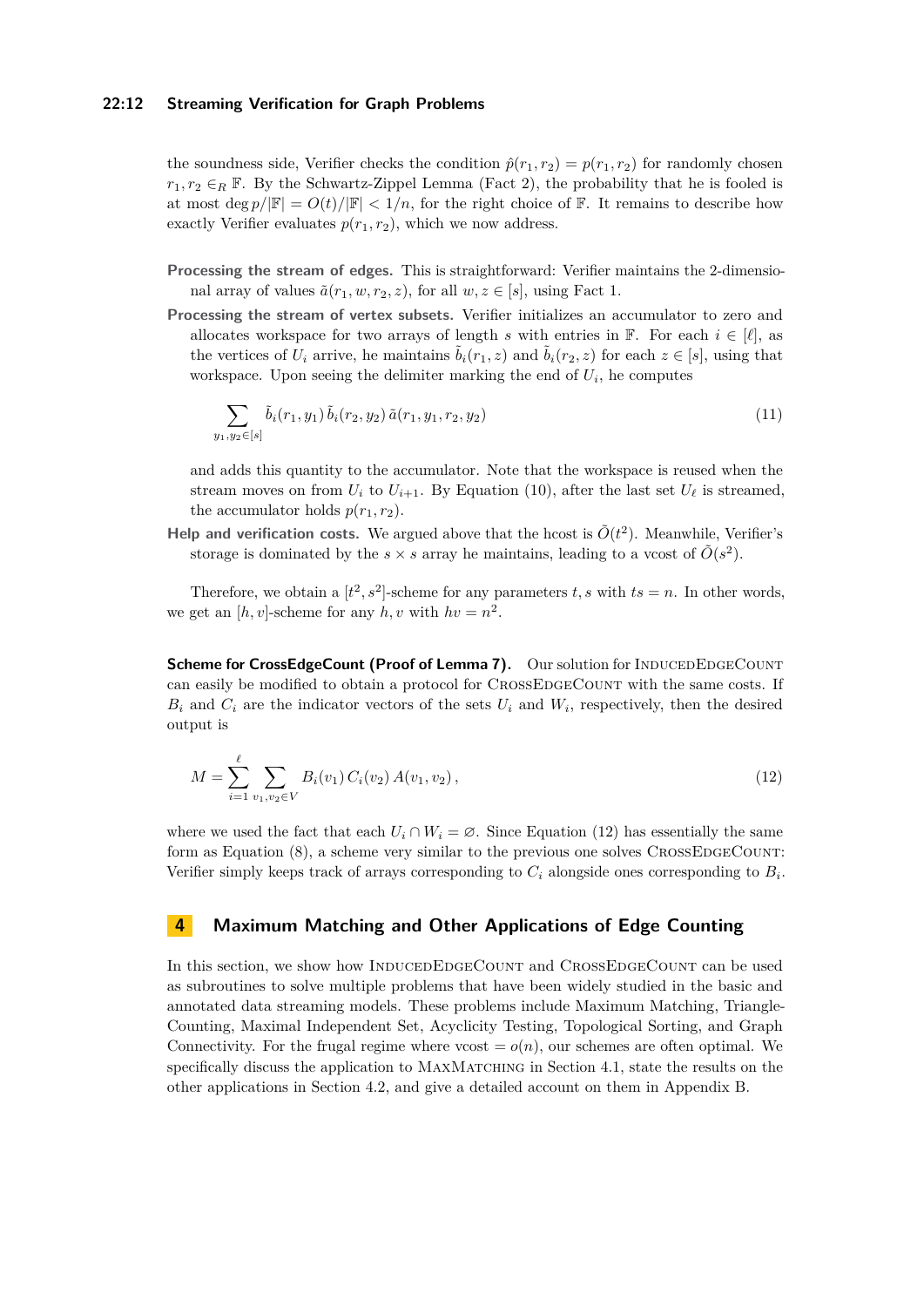### **22:12 Streaming Verification for Graph Problems**

 $\hat{y}$ 

the soundness side, Verifier checks the condition  $\hat{p}(r_1, r_2) = p(r_1, r_2)$  for randomly chosen  $r_1, r_2 \in_R \mathbb{F}$ . By the Schwartz-Zippel Lemma (Fact [2\)](#page-7-3), the probability that he is fooled is at most deg  $p/|\mathbb{F}| = O(t)/|\mathbb{F}| < 1/n$ , for the right choice of  $\mathbb{F}$ . It remains to describe how exactly Verifier evaluates  $p(r_1, r_2)$ , which we now address.

- **Processing the stream of edges.** This is straightforward: Verifier maintains the 2-dimensional array of values  $\tilde{a}(r_1, w, r_2, z)$ , for all  $w, z \in [s]$ , using Fact [1.](#page-7-2)
- **Processing the stream of vertex subsets.** Verifier initializes an accumulator to zero and allocates workspace for two arrays of length *s* with entries in F. For each  $i \in [\ell]$ , as the vertices of  $U_i$  arrive, he maintains  $\tilde{b}_i(r_1, z)$  and  $\tilde{b}_i(r_2, z)$  for each  $z \in [s]$ , using that workspace. Upon seeing the delimiter marking the end of  $U_i$ , he computes

<span id="page-11-0"></span>
$$
\sum_{i,y_2 \in [s]} \tilde{b}_i(r_1,y_1) \tilde{b}_i(r_2,y_2) \tilde{a}(r_1,y_1,r_2,y_2) \tag{11}
$$

and adds this quantity to the accumulator. Note that the workspace is reused when the stream moves on from  $U_i$  to  $U_{i+1}$ . By Equation [\(10\)](#page-10-4), after the last set  $U_\ell$  is streamed, the accumulator holds  $p(r_1, r_2)$ .

**Help and verification costs.** We argued above that the hcost is  $\tilde{O}(t^2)$ . Meanwhile, Verifier's storage is dominated by the  $s \times s$  array he maintains, leading to a vcost of  $\tilde{O}(s^2)$ .

Therefore, we obtain a  $[t^2, s^2]$ -scheme for any parameters *t*, *s* with  $ts = n$ . In other words, we get an  $[h, v]$ -scheme for any  $h, v$  with  $hv = n^2$ .

**Scheme for CrossEdgeCount (Proof of Lemma [7\)](#page-10-5).** Our solution for INDUCEDEDGECOUNT can easily be modified to obtain a protocol for CROSSEDGECOUNT with the same costs. If  $B_i$  and  $C_i$  are the indicator vectors of the sets  $U_i$  and  $W_i$ , respectively, then the desired output is

<span id="page-11-2"></span>
$$
M = \sum_{i=1}^{\ell} \sum_{v_1, v_2 \in V} B_i(v_1) C_i(v_2) A(v_1, v_2), \qquad (12)
$$

where we used the fact that each  $U_i \cap W_i = \emptyset$ . Since Equation [\(12\)](#page-11-2) has essentially the same form as Equation  $(8)$ , a scheme very similar to the previous one solves CROSSEDGECOUNT: Verifier simply keeps track of arrays corresponding to  $C_i$  alongside ones corresponding to  $B_i$ .

# <span id="page-11-1"></span>**4 Maximum Matching and Other Applications of Edge Counting**

In this section, we show how INDUCEDEDGECOUNT and CROSSEDGECOUNT can be used as subroutines to solve multiple problems that have been widely studied in the basic and annotated data streaming models. These problems include Maximum Matching, Triangle-Counting, Maximal Independent Set, Acyclicity Testing, Topological Sorting, and Graph Connectivity. For the frugal regime where vcost  $= o(n)$ , our schemes are often optimal. We specifically discuss the application to MAXMATCHING in Section [4.1,](#page-12-2) state the results on the other applications in Section [4.2,](#page-13-5) and give a detailed account on them in Appendix [B.](#page-18-3)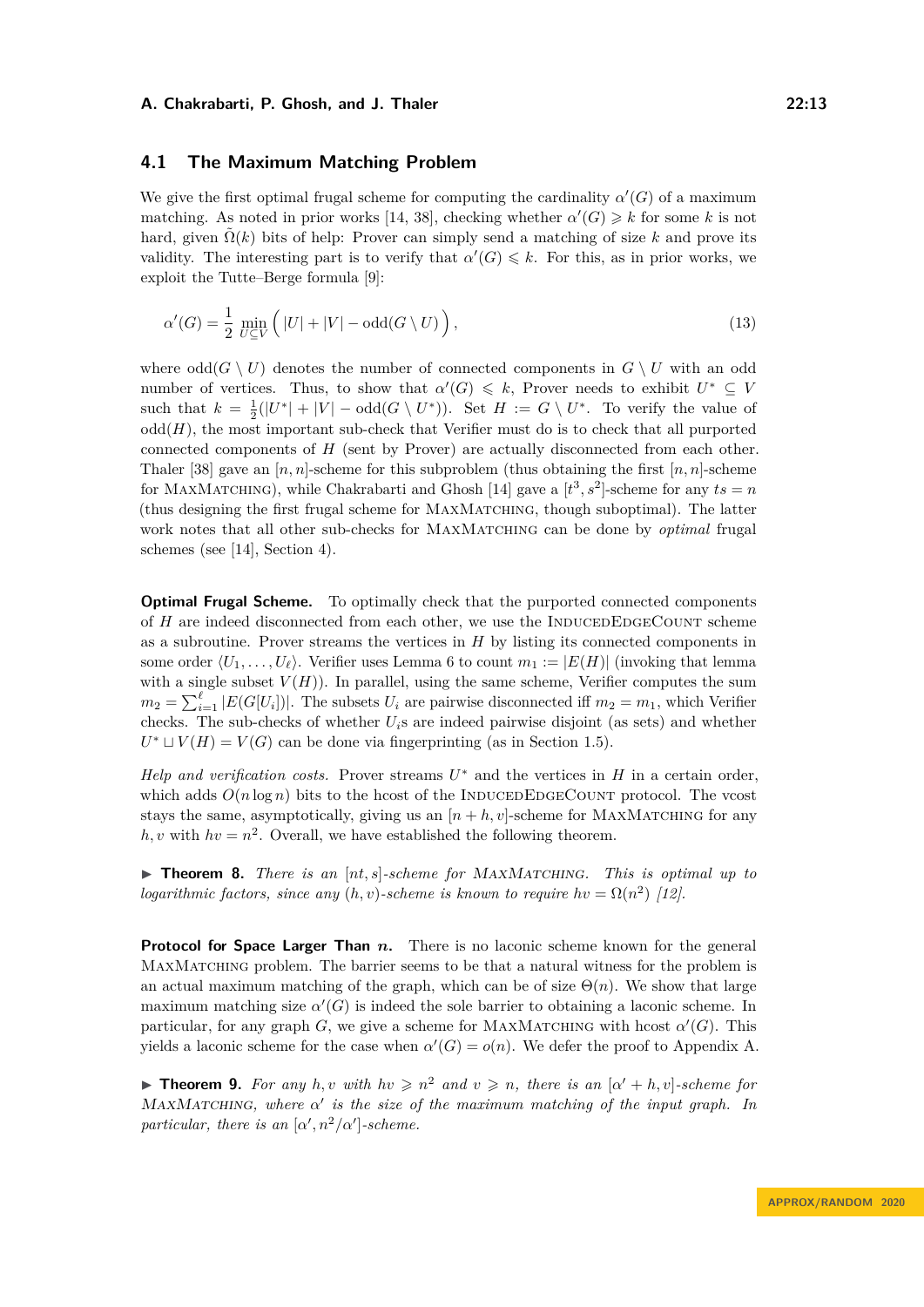# <span id="page-12-2"></span>**4.1 The Maximum Matching Problem**

We give the first optimal frugal scheme for computing the cardinality  $\alpha'(G)$  of a maximum matching. As noted in prior works [\[14,](#page-16-8) [38\]](#page-17-8), checking whether  $\alpha'(G) \geq k$  for some k is not hard, given  $\Omega(k)$  bits of help: Prover can simply send a matching of size k and prove its validity. The interesting part is to verify that  $\alpha'(G) \leq k$ . For this, as in prior works, we exploit the Tutte–Berge formula [\[9\]](#page-16-15):

<span id="page-12-3"></span>
$$
\alpha'(G) = \frac{1}{2} \min_{U \subseteq V} \left( |U| + |V| - \text{odd}(G \setminus U) \right),\tag{13}
$$

where  $odd(G \setminus U)$  denotes the number of connected components in  $G \setminus U$  with an odd number of vertices. Thus, to show that  $\alpha'(G) \leq k$ , Prover needs to exhibit  $U^* \subseteq V$ such that  $k = \frac{1}{2}(|U^*| + |V| - \text{odd}(G \setminus U^*))$ . Set  $H := G \setminus U^*$ . To verify the value of  $odd(H)$ , the most important sub-check that Verifier must do is to check that all purported connected components of *H* (sent by Prover) are actually disconnected from each other. Thaler [\[38\]](#page-17-8) gave an  $[n, n]$ -scheme for this subproblem (thus obtaining the first  $[n, n]$ -scheme for MAXMATCHING), while Chakrabarti and Ghosh [\[14\]](#page-16-8) gave a  $[t^3, s^2]$ -scheme for any  $ts = n$ (thus designing the first frugal scheme for MaxMatching, though suboptimal). The latter work notes that all other sub-checks for MaxMatching can be done by *optimal* frugal schemes (see [\[14\]](#page-16-8), Section 4).

**Optimal Frugal Scheme.** To optimally check that the purported connected components of *H* are indeed disconnected from each other, we use the INDUCEDEDGECOUNT scheme as a subroutine. Prover streams the vertices in *H* by listing its connected components in some order  $\langle U_1, \ldots, U_\ell \rangle$ . Verifier uses Lemma [6](#page-10-1) to count  $m_1 := |E(H)|$  (invoking that lemma with a single subset  $V(H)$ ). In parallel, using the same scheme, Verifier computes the sum  $m_2 = \sum_{i=1}^{\ell} |E(G[U_i])|$ . The subsets  $U_i$  are pairwise disconnected iff  $m_2 = m_1$ , which Verifier checks. The sub-checks of whether *Ui*s are indeed pairwise disjoint (as sets) and whether  $U^* \sqcup V(H) = V(G)$  can be done via fingerprinting (as in Section [1.5\)](#page-6-0).

*Help and verification costs.* Prover streams  $U^*$  and the vertices in  $H$  in a certain order, which adds  $O(n \log n)$  bits to the hcost of the INDUCEDEDGECOUNT protocol. The vcost stays the same, asymptotically, giving us an  $[n + h, v]$ -scheme for MAXMATCHING for any  $h, v$  with  $hv = n^2$ . Overall, we have established the following theorem.

<span id="page-12-0"></span> $\triangleright$  **Theorem 8.** *There is an*  $[nt, s]$ -scheme for MAXMATCHING. This is optimal up to *logarithmic factors, since any*  $(h, v)$ -scheme is known to require  $hv = \Omega(n^2)$  [\[12\]](#page-16-2).

**Protocol for Space Larger Than** *n*. There is no laconic scheme known for the general MaxMatching problem. The barrier seems to be that a natural witness for the problem is an actual maximum matching of the graph, which can be of size  $\Theta(n)$ . We show that large maximum matching size  $\alpha'(G)$  is indeed the sole barrier to obtaining a laconic scheme. In particular, for any graph *G*, we give a scheme for MAXMATCHING with hcost  $\alpha'(G)$ . This yields a laconic scheme for the case when  $\alpha'(G) = o(n)$ . We defer the proof to Appendix [A.](#page-18-4)

<span id="page-12-1"></span>**Find 1.** For any *h,v* with  $hv \geq n^2$  and  $v \geq n$ , there is an  $[\alpha' + h, v]$ -scheme for MaxMatching*, where α* 0 *is the size of the maximum matching of the input graph. In particular, there is an*  $\lbrack \alpha', n^2/\alpha' \rbrack$ -scheme.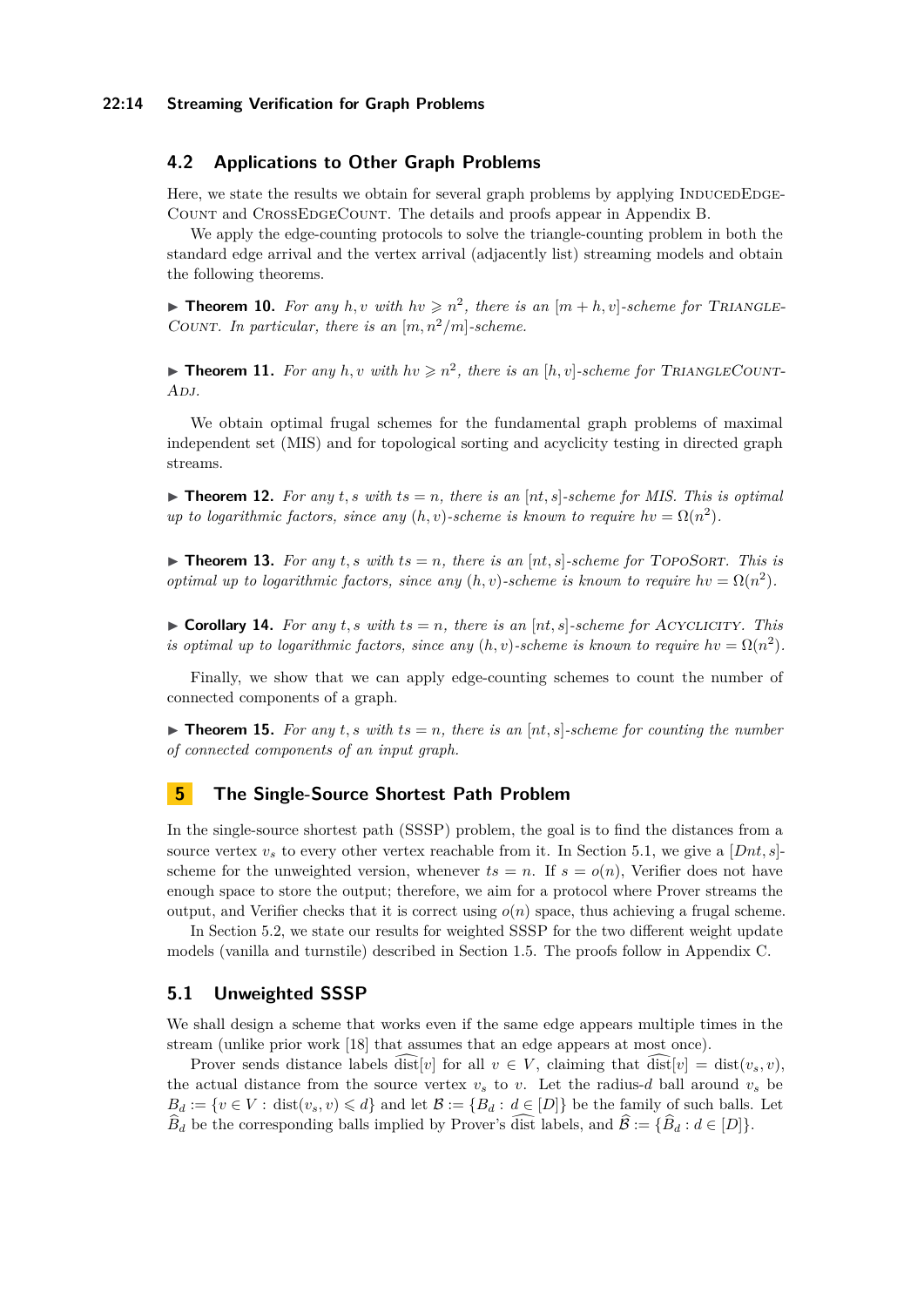### **22:14 Streaming Verification for Graph Problems**

# <span id="page-13-5"></span>**4.2 Applications to Other Graph Problems**

Here, we state the results we obtain for several graph problems by applying INDUCEDEDGE-Count and CrossEdgeCount. The details and proofs appear in Appendix [B.](#page-18-3)

We apply the edge-counting protocols to solve the triangle-counting problem in both the standard edge arrival and the vertex arrival (adjacently list) streaming models and obtain the following theorems.

<span id="page-13-0"></span>**Theorem 10.** For any  $h, v$  with  $hv \geq n^2$ , there is an  $[m+h, v]$ -scheme for TRIANGLE-COUNT. In particular, there is an  $[m, n^2/m]$ -scheme.

<span id="page-13-1"></span>**Theorem 11.** For any  $h, v$  with  $hv \geq n^2$ , there is an  $[h, v]$ -scheme for TRIANGLECOUNT-A<sub>DJ</sub>.

We obtain optimal frugal schemes for the fundamental graph problems of maximal independent set (MIS) and for topological sorting and acyclicity testing in directed graph streams.

<span id="page-13-2"></span> $\triangleright$  **Theorem 12.** For any t, s with  $ts = n$ , there is an  $[nt, s]$ -scheme for MIS. This is optimal *up to logarithmic factors, since any*  $(h, v)$ -scheme is known to require  $hv = \Omega(n^2)$ .

<span id="page-13-3"></span> $\triangleright$  **Theorem 13.** For any t, s with ts = n, there is an  $[nt, s]$ -scheme for TOPOSORT. This is *optimal up to logarithmic factors, since any*  $(h, v)$ -scheme is known to require  $hv = \Omega(n^2)$ .

<span id="page-13-4"></span> $\triangleright$  **Corollary 14.** For any  $t$ , s with  $ts = n$ , there is an  $[nt, s]$ -scheme for ACYCLICITY. This *is optimal up to logarithmic factors, since any*  $(h, v)$ -scheme is known to require  $hv = \Omega(n^2)$ .

Finally, we show that we can apply edge-counting schemes to count the number of connected components of a graph.

**Figurer 15.** For any  $t$ , s with  $ts = n$ , there is an  $[nt, s]$ -scheme for counting the number *of connected components of an input graph.*

# **5 The Single-Source Shortest Path Problem**

In the single-source shortest path (SSSP) problem, the goal is to find the distances from a source vertex  $v<sub>s</sub>$  to every other vertex reachable from it. In Section [5.1,](#page-13-6) we give a  $[Dnt, s]$ scheme for the unweighted version, whenever  $ts = n$ . If  $s = o(n)$ , Verifier does not have enough space to store the output; therefore, we aim for a protocol where Prover streams the output, and Verifier checks that it is correct using  $o(n)$  space, thus achieving a frugal scheme.

In Section [5.2,](#page-15-4) we state our results for weighted SSSP for the two different weight update models (vanilla and turnstile) described in Section [1.5.](#page-6-0) The proofs follow in Appendix [C.](#page-21-0)

# <span id="page-13-6"></span>**5.1 Unweighted SSSP**

We shall design a scheme that works even if the same edge appears multiple times in the stream (unlike prior work [\[18\]](#page-17-9) that assumes that an edge appears at most once).

Prover sends distance labels dist v i or all  $v \in V$ , claiming that  $\text{dist}[v] = \text{dist}(v_s, v)$ , the actual distance from the source vertex  $v_s$  to *v*. Let the radius-*d* ball around  $v_s$  be  $B_d := \{v \in V : \text{dist}(v_s, v) \leq d\}$  and let  $\mathcal{B} := \{B_d : d \in [D]\}$  be the family of such balls. Let  $\widehat{B}_d$  be the corresponding balls implied by Prover's dist labels, and  $\widehat{B} := {\widehat{B}_d : d \in [D]}$ .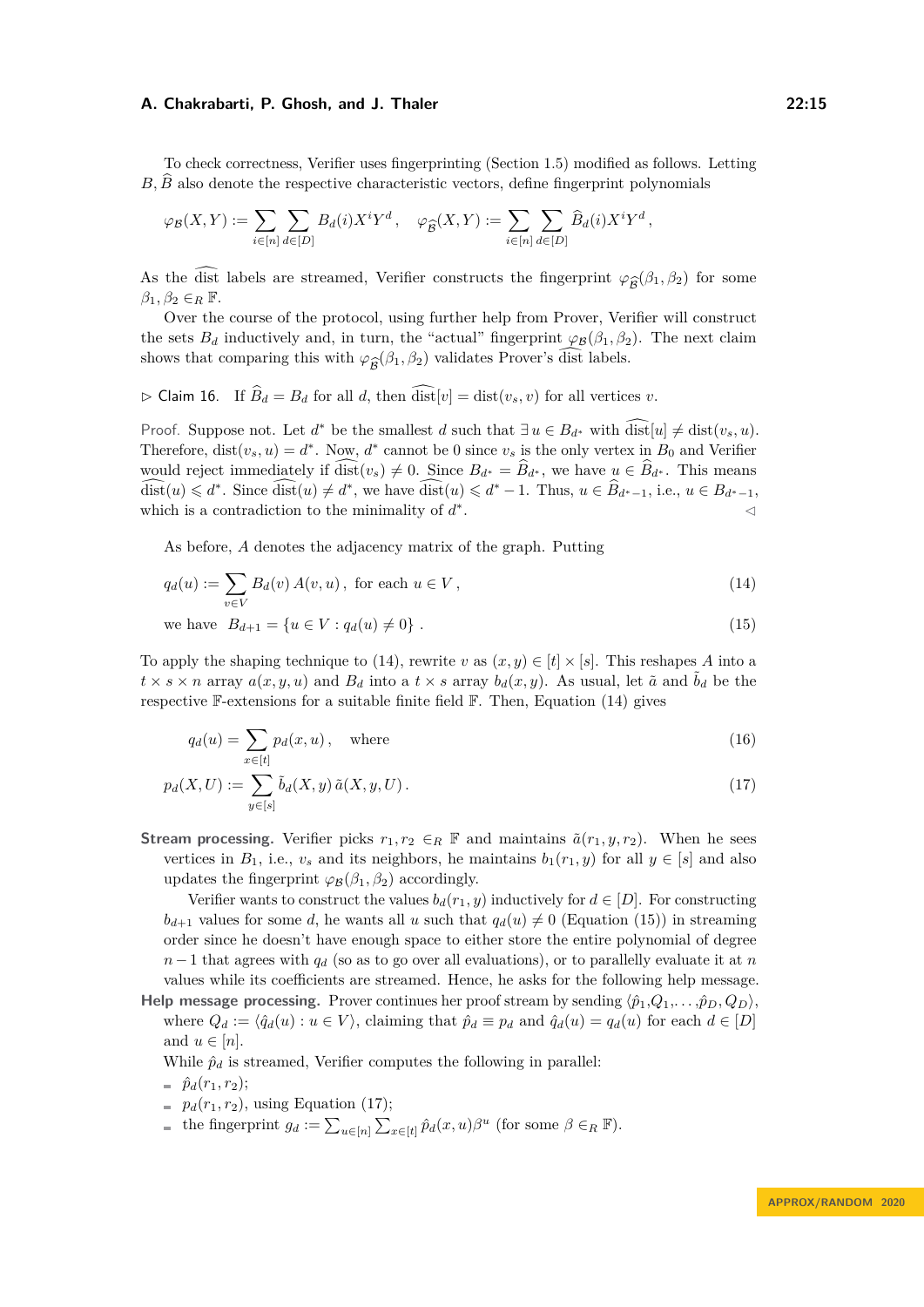To check correctness, Verifier uses fingerprinting (Section [1.5\)](#page-6-0) modified as follows. Letting  $B, \overline{B}$  also denote the respective characteristic vectors, define fingerprint polynomials

$$
\varphi_{\mathcal{B}}(X,Y) := \sum_{i \in [n]} \sum_{d \in [D]} B_d(i) X^i Y^d, \quad \varphi_{\widehat{\mathcal{B}}}(X,Y) := \sum_{i \in [n]} \sum_{d \in [D]} \widehat{B}_d(i) X^i Y^d,
$$

As the dist labels are streamed, Verifier constructs the fingerprint  $\varphi_{\widehat{\mathcal{B}}}(\beta_1, \beta_2)$  for some  $\beta_1, \beta_2 \in \mathbb{R}$ .  $\beta_1, \beta_2 \in_R \mathbb{F}$ .

Over the course of the protocol, using further help from Prover, Verifier will construct the sets  $B_d$  inductively and, in turn, the "actual" fingerprint  $\varphi_B(\beta_1, \beta_2)$ . The next claim shows that comparing this with  $\varphi_{\hat{\mathcal{B}}}(\beta_1, \beta_2)$  validates Prover's dist labels.

<span id="page-14-4"></span> $\triangleright$  Claim 16. If  $\widehat{B}_d = B_d$  for all *d*, then  $\widehat{\text{dist}}[v] = \text{dist}(v_s, v)$  for all vertices *v*.

Proof. Suppose not. Let  $d^*$  be the smallest  $d$  such that  $\exists u \in B_{d^*}$  with  $\widehat{\text{dist}}[u] \neq \text{dist}(v_s, u)$ . Therefore,  $dist(v_s, u) = d^*$ . Now,  $d^*$  cannot be 0 since  $v_s$  is the only vertex in  $B_0$  and Verifier would reject immediately if  $\widehat{\text{dist}}(v_s) \neq 0$ . Since  $B_{d^*} = \widehat{B}_{d^*}$ , we have  $u \in \widehat{B}_{d^*}$ . This means  $\widehat{\text{dist}}(u) \leq d^*$ . Since  $\widehat{\text{dist}}(u) \neq d^*$ , we have  $\widehat{\text{dist}}(u) \leq d^* - 1$ . Thus,  $u \in \widehat{B}_{d^*-1}$ , i.e.,  $u \in B_{d^*-1}$ , which is a contradiction to the minimality of  $d^*$ . The contract of the contract of  $\mathcal{A}$ 

As before, *A* denotes the adjacency matrix of the graph. Putting

<span id="page-14-0"></span>
$$
q_d(u) := \sum_{v \in V} B_d(v) A(v, u), \text{ for each } u \in V,
$$
\n
$$
(14)
$$

we have 
$$
B_{d+1} = \{u \in V : q_d(u) \neq 0\}
$$
. (15)

To apply the shaping technique to [\(14\)](#page-14-0), rewrite *v* as  $(x, y) \in [t] \times [s]$ . This reshapes *A* into a  $t \times s \times n$  array  $a(x, y, u)$  and  $B_d$  into a  $t \times s$  array  $b_d(x, y)$ . As usual, let  $\tilde{a}$  and  $\tilde{b}_d$  be the respective  $\mathbb{F}\text{-extensions}$  for a suitable finite field  $\mathbb{F}\text{. Then, Equation (14) gives}$  $\mathbb{F}\text{. Then, Equation (14) gives}$  $\mathbb{F}\text{. Then, Equation (14) gives}$ 

<span id="page-14-3"></span><span id="page-14-2"></span><span id="page-14-1"></span>
$$
q_d(u) = \sum_{x \in [t]} p_d(x, u), \quad \text{where} \tag{16}
$$

$$
p_d(X, U) := \sum_{y \in [s]} \tilde{b}_d(X, y) \, \tilde{a}(X, y, U) \,. \tag{17}
$$

**Stream processing.** Verifier picks  $r_1, r_2 \in_R \mathbb{F}$  and maintains  $\tilde{a}(r_1, y, r_2)$ . When he sees vertices in  $B_1$ , i.e.,  $v_s$  and its neighbors, he maintains  $b_1(r_1, y)$  for all  $y \in [s]$  and also updates the fingerprint  $\varphi_B(\beta_1, \beta_2)$  accordingly.

Verifier wants to construct the values  $b_d(r_1, y)$  inductively for  $d \in [D]$ . For constructing  $b_{d+1}$  values for some *d*, he wants all *u* such that  $q_d(u) \neq 0$  (Equation [\(15\)](#page-14-1)) in streaming order since he doesn't have enough space to either store the entire polynomial of degree  $n-1$  that agrees with  $q_d$  (so as to go over all evaluations), or to parallelly evaluate it at *n* values while its coefficients are streamed. Hence, he asks for the following help message.

**Help message processing.** Prover continues her proof stream by sending  $\langle \hat{p}_1, Q_1, \ldots, \hat{p}_D, Q_D \rangle$ , where  $Q_d := \langle \hat{q}_d(u) : u \in V \rangle$ , claiming that  $\hat{p}_d \equiv p_d$  and  $\hat{q}_d(u) = q_d(u)$  for each  $d \in [D]$ and  $u \in [n]$ .

While  $\hat{p}_d$  is streamed, Verifier computes the following in parallel:

$$
= \hat{p}_d(r_1, r_2);
$$

- $= p_d(r_1, r_2)$ , using Equation [\(17\)](#page-14-2);
- the fingerprint  $g_d := \sum_{u \in [n]} \sum_{x \in [t]} \hat{p}_d(x, u) \beta^u$  (for some  $\beta \in_R \mathbb{F}$ ).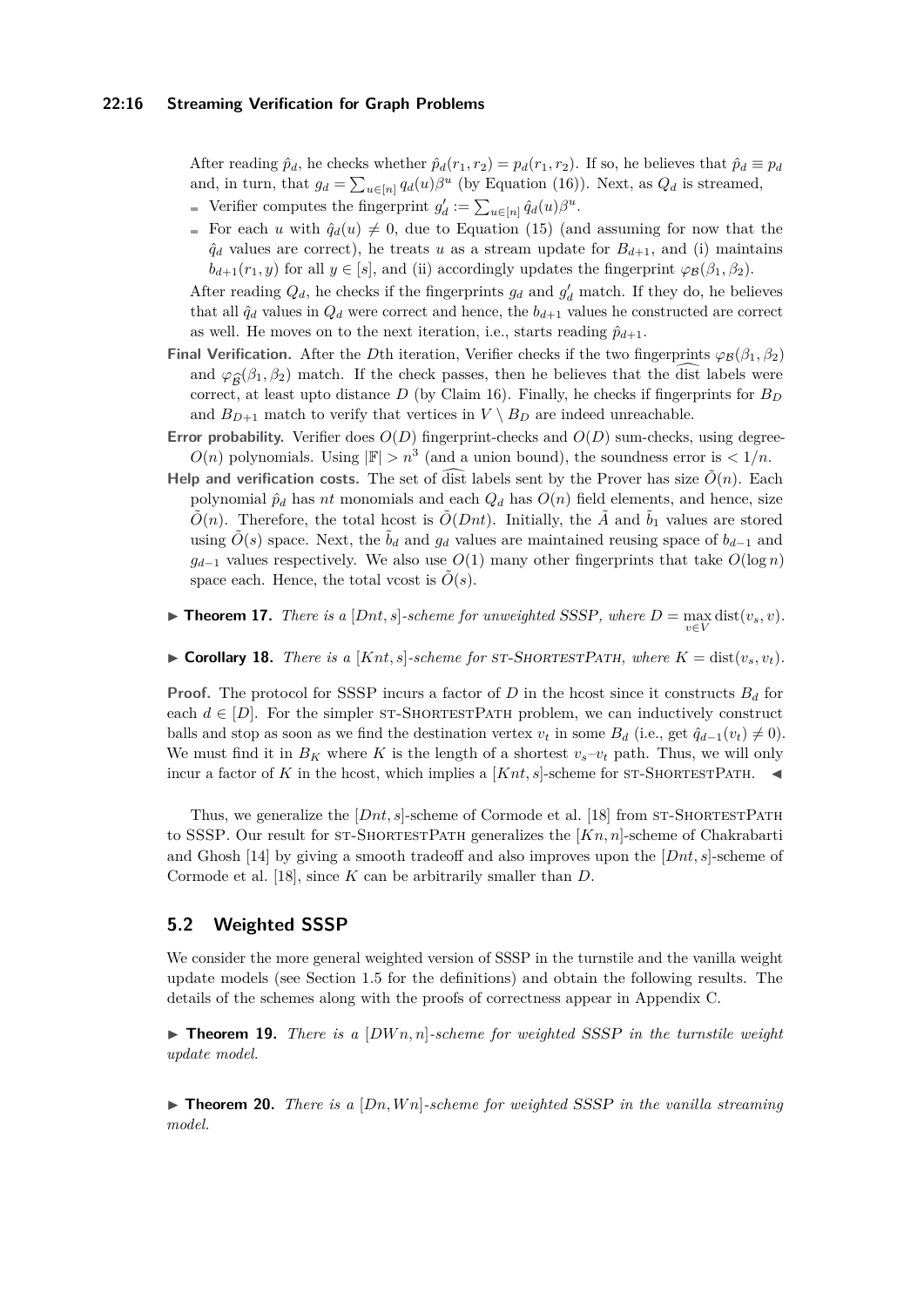After reading  $\hat{p}_d$ , he checks whether  $\hat{p}_d(r_1, r_2) = p_d(r_1, r_2)$ . If so, he believes that  $\hat{p}_d \equiv p_d$ and, in turn, that  $g_d = \sum_{u \in [n]} q_d(u) \beta^u$  (by Equation [\(16\)](#page-14-3)). Next, as  $Q_d$  is streamed, Verifier computes the fingerprint  $g'_d := \sum_{u \in [n]} \hat{q}_d(u) \beta^u$ .

For each *u* with  $\hat{q}_d(u) \neq 0$ , due to Equation [\(15\)](#page-14-1) (and assuming for now that the  $\hat{q}_d$  values are correct), he treats *u* as a stream update for  $B_{d+1}$ , and (i) maintains  $b_{d+1}(r_1, y)$  for all  $y \in [s]$ , and (ii) accordingly updates the fingerprint  $\varphi_{\mathcal{B}}(\beta_1, \beta_2)$ .

After reading  $Q_d$ , he checks if the fingerprints  $g_d$  and  $g'_d$  match. If they do, he believes that all  $\hat{q}_d$  values in  $Q_d$  were correct and hence, the  $b_{d+1}$  values he constructed are correct as well. He moves on to the next iteration, i.e., starts reading  $\hat{p}_{d+1}$ .

- **Final Verification.** After the *D*th iteration, Verifier checks if the two fingerprints  $\varphi_B(\beta_1, \beta_2)$ and  $\varphi_{\hat{\mathcal{B}}}(\beta_1, \beta_2)$  match. If the check passes, then he believes that the dist labels were correct, at least upto distance D (by Claim 16). Finally, he checks if fingerprints for B<sub>D</sub> correct, at least upto distance  $D$  (by Claim [16\)](#page-14-4). Finally, he checks if fingerprints for  $B_D$ and  $B_{D+1}$  match to verify that vertices in  $V \setminus B_D$  are indeed unreachable.
- **Error probability.** Verifier does  $O(D)$  fingerprint-checks and  $O(D)$  sum-checks, using degree- $O(n)$  polynomials. Using  $|\mathbb{F}| > n^3$  (and a union bound), the soundness error is  $\lt 1/n$ .
- **Help and verification costs.** The set of dist labels sent by the Prover has size  $\tilde{O}(n)$ . Each polynomial  $\hat{p}_d$  has *nt* monomials and each  $Q_d$  has  $O(n)$  field elements, and hence, size  $\tilde{O}(n)$ . Therefore, the total hcost is  $\tilde{O}(Dnt)$ . Initially, the  $\tilde{A}$  and  $\tilde{b}_1$  values are stored using  $\tilde{O}(s)$  space. Next, the  $\tilde{b}_d$  and  $g_d$  values are maintained reusing space of  $b_{d-1}$  and  $g_{d-1}$  values respectively. We also use  $O(1)$  many other fingerprints that take  $O(\log n)$ space each. Hence, the total vcost is  $O(s)$ .
- <span id="page-15-1"></span>▶ **Theorem 17.** *There is a*  $[Dnt, s]$ -scheme for unweighted SSSP, where  $D = \max_{v \in V} \text{dist}(v_s, v)$ *.*

<span id="page-15-0"></span> $\triangleright$  **Corollary 18.** *There is a* [*Knt, s*]*-scheme for ST-SHORTESTPATH, where*  $K = \text{dist}(v_s, v_t)$ *.* 

**Proof.** The protocol for SSSP incurs a factor of *D* in the hcost since it constructs  $B_d$  for each  $d \in [D]$ . For the simpler ST-SHORTESTPATH problem, we can inductively construct balls and stop as soon as we find the destination vertex  $v_t$  in some  $B_d$  (i.e., get  $\hat{q}_{d-1}(v_t) \neq 0$ ). We must find it in  $B_K$  where K is the length of a shortest  $v_s - v_t$  path. Thus, we will only incur a factor of *K* in the hcost, which implies a  $[Knt, s]$ -scheme for ST-SHORTESTPATH.

Thus, we generalize the  $[Out, s]$ -scheme of Cormode et al. [\[18\]](#page-17-9) from ST-SHORTESTPATH to SSSP. Our result for ST-SHORTESTPATH generalizes the [*Kn, n*]-scheme of Chakrabarti and Ghosh [\[14\]](#page-16-8) by giving a smooth tradeoff and also improves upon the [*Dnt, s*]-scheme of Cormode et al. [\[18\]](#page-17-9), since *K* can be arbitrarily smaller than *D*.

# <span id="page-15-4"></span>**5.2 Weighted SSSP**

We consider the more general weighted version of SSSP in the turnstile and the vanilla weight update models (see Section [1.5](#page-6-0) for the definitions) and obtain the following results. The details of the schemes along with the proofs of correctness appear in Appendix [C.](#page-21-0)

<span id="page-15-2"></span> $\triangleright$  **Theorem 19.** *There is a* [*DWn, n*]*-scheme for weighted SSSP in the turnstile weight update model.*

<span id="page-15-3"></span> $\triangleright$  **Theorem 20.** *There is a* [Dn, Wn]*-scheme for weighted* SSSP *in the vanilla streaming model.*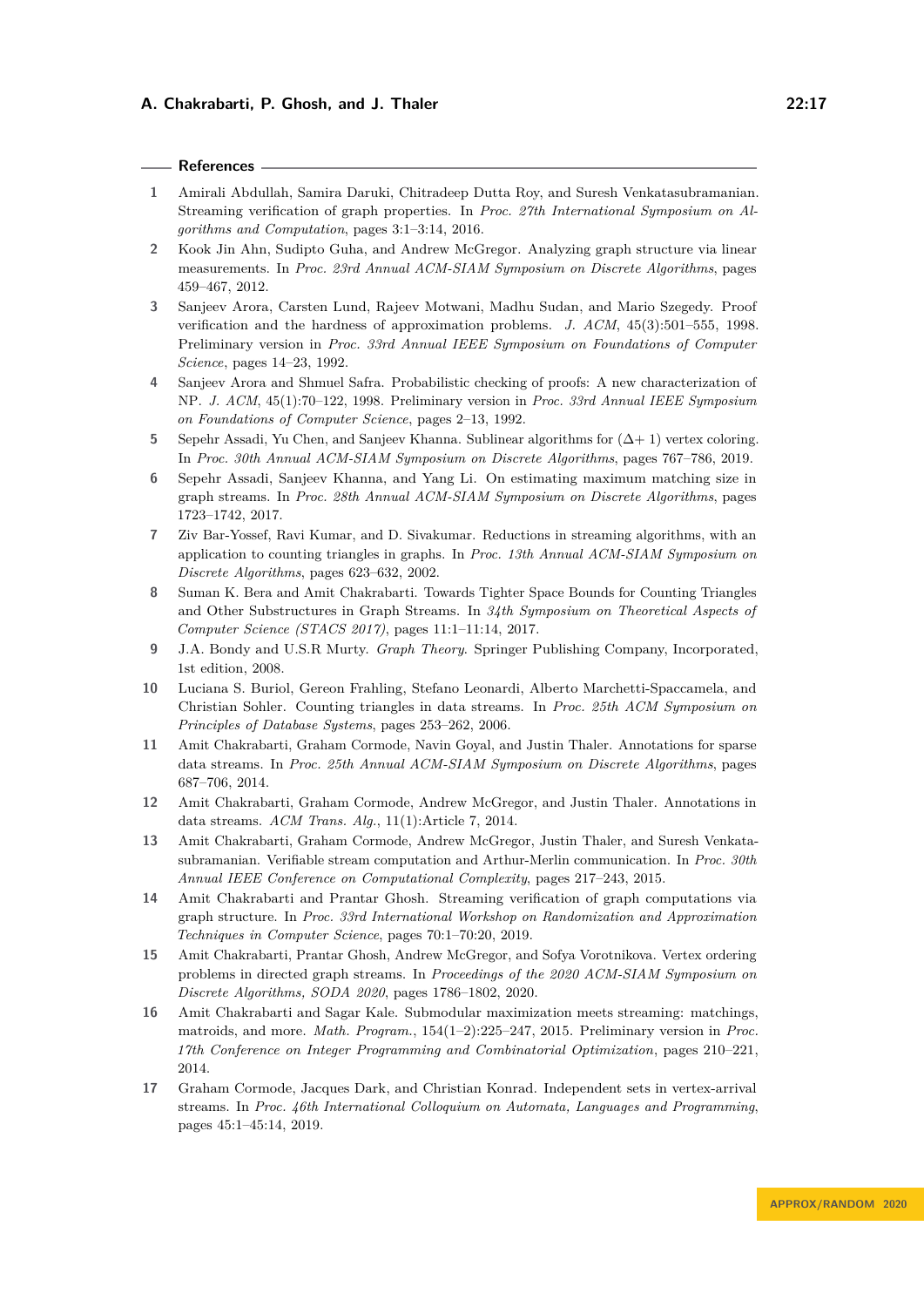### **References**

- <span id="page-16-14"></span>**1** Amirali Abdullah, Samira Daruki, Chitradeep Dutta Roy, and Suresh Venkatasubramanian. Streaming verification of graph properties. In *Proc. 27th International Symposium on Algorithms and Computation*, pages 3:1–3:14, 2016.
- <span id="page-16-16"></span>**2** Kook Jin Ahn, Sudipto Guha, and Andrew McGregor. Analyzing graph structure via linear measurements. In *Proc. 23rd Annual ACM-SIAM Symposium on Discrete Algorithms*, pages 459–467, 2012.
- <span id="page-16-0"></span>**3** Sanjeev Arora, Carsten Lund, Rajeev Motwani, Madhu Sudan, and Mario Szegedy. Proof verification and the hardness of approximation problems. *J. ACM*, 45(3):501–555, 1998. Preliminary version in *Proc. 33rd Annual IEEE Symposium on Foundations of Computer Science*, pages 14–23, 1992.
- <span id="page-16-1"></span>**4** Sanjeev Arora and Shmuel Safra. Probabilistic checking of proofs: A new characterization of NP. *J. ACM*, 45(1):70–122, 1998. Preliminary version in *Proc. 33rd Annual IEEE Symposium on Foundations of Computer Science*, pages 2–13, 1992.
- <span id="page-16-11"></span>**5** Sepehr Assadi, Yu Chen, and Sanjeev Khanna. Sublinear algorithms for (∆+ 1) vertex coloring. In *Proc. 30th Annual ACM-SIAM Symposium on Discrete Algorithms*, pages 767–786, 2019.
- <span id="page-16-9"></span>**6** Sepehr Assadi, Sanjeev Khanna, and Yang Li. On estimating maximum matching size in graph streams. In *Proc. 28th Annual ACM-SIAM Symposium on Discrete Algorithms*, pages 1723–1742, 2017.
- <span id="page-16-5"></span>**7** Ziv Bar-Yossef, Ravi Kumar, and D. Sivakumar. Reductions in streaming algorithms, with an application to counting triangles in graphs. In *Proc. 13th Annual ACM-SIAM Symposium on Discrete Algorithms*, pages 623–632, 2002.
- <span id="page-16-6"></span>**8** Suman K. Bera and Amit Chakrabarti. Towards Tighter Space Bounds for Counting Triangles and Other Substructures in Graph Streams. In *34th Symposium on Theoretical Aspects of Computer Science (STACS 2017)*, pages 11:1–11:14, 2017.
- <span id="page-16-15"></span>**9** J.A. Bondy and U.S.R Murty. *Graph Theory*. Springer Publishing Company, Incorporated, 1st edition, 2008.
- <span id="page-16-7"></span>**10** Luciana S. Buriol, Gereon Frahling, Stefano Leonardi, Alberto Marchetti-Spaccamela, and Christian Sohler. Counting triangles in data streams. In *Proc. 25th ACM Symposium on Principles of Database Systems*, pages 253–262, 2006.
- <span id="page-16-3"></span>**11** Amit Chakrabarti, Graham Cormode, Navin Goyal, and Justin Thaler. Annotations for sparse data streams. In *Proc. 25th Annual ACM-SIAM Symposium on Discrete Algorithms*, pages 687–706, 2014.
- <span id="page-16-2"></span>**12** Amit Chakrabarti, Graham Cormode, Andrew McGregor, and Justin Thaler. Annotations in data streams. *ACM Trans. Alg.*, 11(1):Article 7, 2014.
- <span id="page-16-4"></span>**13** Amit Chakrabarti, Graham Cormode, Andrew McGregor, Justin Thaler, and Suresh Venkatasubramanian. Verifiable stream computation and Arthur-Merlin communication. In *Proc. 30th Annual IEEE Conference on Computational Complexity*, pages 217–243, 2015.
- <span id="page-16-8"></span>**14** Amit Chakrabarti and Prantar Ghosh. Streaming verification of graph computations via graph structure. In *Proc. 33rd International Workshop on Randomization and Approximation Techniques in Computer Science*, pages 70:1–70:20, 2019.
- <span id="page-16-13"></span>**15** Amit Chakrabarti, Prantar Ghosh, Andrew McGregor, and Sofya Vorotnikova. Vertex ordering problems in directed graph streams. In *Proceedings of the 2020 ACM-SIAM Symposium on Discrete Algorithms, SODA 2020*, pages 1786–1802, 2020.
- <span id="page-16-10"></span>**16** Amit Chakrabarti and Sagar Kale. Submodular maximization meets streaming: matchings, matroids, and more. *Math. Program.*, 154(1–2):225–247, 2015. Preliminary version in *Proc. 17th Conference on Integer Programming and Combinatorial Optimization*, pages 210–221, 2014.
- <span id="page-16-12"></span>**17** Graham Cormode, Jacques Dark, and Christian Konrad. Independent sets in vertex-arrival streams. In *Proc. 46th International Colloquium on Automata, Languages and Programming*, pages 45:1–45:14, 2019.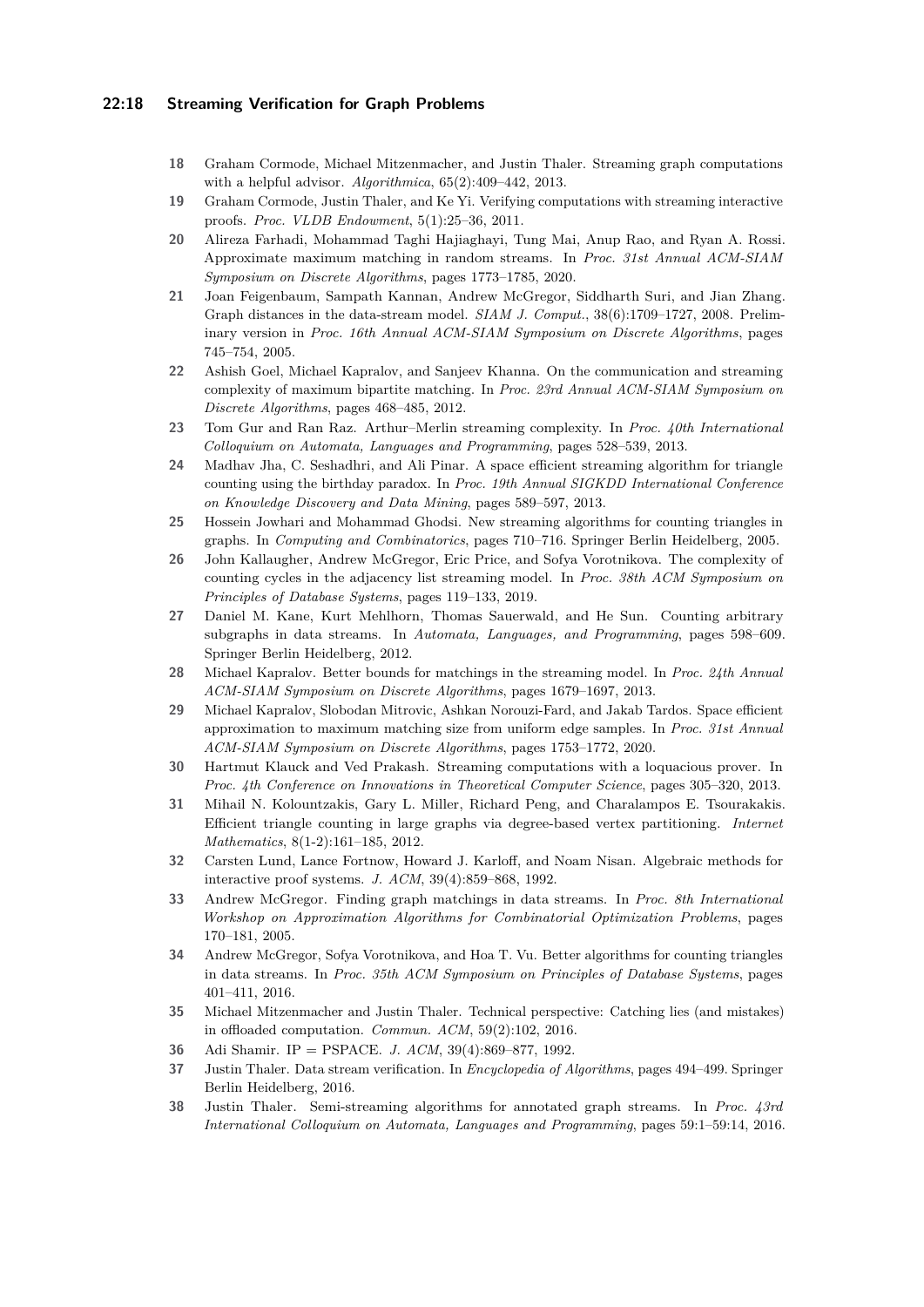## **22:18 Streaming Verification for Graph Problems**

- <span id="page-17-9"></span>**18** Graham Cormode, Michael Mitzenmacher, and Justin Thaler. Streaming graph computations with a helpful advisor. *Algorithmica*, 65(2):409–442, 2013.
- <span id="page-17-3"></span>**19** Graham Cormode, Justin Thaler, and Ke Yi. Verifying computations with streaming interactive proofs. *Proc. VLDB Endowment*, 5(1):25–36, 2011.
- <span id="page-17-16"></span>**20** Alireza Farhadi, Mohammad Taghi Hajiaghayi, Tung Mai, Anup Rao, and Ryan A. Rossi. Approximate maximum matching in random streams. In *Proc. 31st Annual ACM-SIAM Symposium on Discrete Algorithms*, pages 1773–1785, 2020.
- <span id="page-17-12"></span>**21** Joan Feigenbaum, Sampath Kannan, Andrew McGregor, Siddharth Suri, and Jian Zhang. Graph distances in the data-stream model. *SIAM J. Comput.*, 38(6):1709–1727, 2008. Preliminary version in *Proc. 16th Annual ACM-SIAM Symposium on Discrete Algorithms*, pages 745–754, 2005.
- <span id="page-17-13"></span>**22** Ashish Goel, Michael Kapralov, and Sanjeev Khanna. On the communication and streaming complexity of maximum bipartite matching. In *Proc. 23rd Annual ACM-SIAM Symposium on Discrete Algorithms*, pages 468–485, 2012.
- <span id="page-17-18"></span>**23** Tom Gur and Ran Raz. Arthur–Merlin streaming complexity. In *Proc. 40th International Colloquium on Automata, Languages and Programming*, pages 528–539, 2013.
- <span id="page-17-4"></span>**24** Madhav Jha, C. Seshadhri, and Ali Pinar. A space efficient streaming algorithm for triangle counting using the birthday paradox. In *Proc. 19th Annual SIGKDD International Conference on Knowledge Discovery and Data Mining*, pages 589–597, 2013.
- <span id="page-17-5"></span>**25** Hossein Jowhari and Mohammad Ghodsi. New streaming algorithms for counting triangles in graphs. In *Computing and Combinatorics*, pages 710–716. Springer Berlin Heidelberg, 2005.
- <span id="page-17-10"></span>**26** John Kallaugher, Andrew McGregor, Eric Price, and Sofya Vorotnikova. The complexity of counting cycles in the adjacency list streaming model. In *Proc. 38th ACM Symposium on Principles of Database Systems*, pages 119–133, 2019.
- <span id="page-17-6"></span>**27** Daniel M. Kane, Kurt Mehlhorn, Thomas Sauerwald, and He Sun. Counting arbitrary subgraphs in data streams. In *Automata, Languages, and Programming*, pages 598–609. Springer Berlin Heidelberg, 2012.
- <span id="page-17-14"></span>**28** Michael Kapralov. Better bounds for matchings in the streaming model. In *Proc. 24th Annual ACM-SIAM Symposium on Discrete Algorithms*, pages 1679–1697, 2013.
- <span id="page-17-17"></span>**29** Michael Kapralov, Slobodan Mitrovic, Ashkan Norouzi-Fard, and Jakab Tardos. Space efficient approximation to maximum matching size from uniform edge samples. In *Proc. 31st Annual ACM-SIAM Symposium on Discrete Algorithms*, pages 1753–1772, 2020.
- <span id="page-17-2"></span>**30** Hartmut Klauck and Ved Prakash. Streaming computations with a loquacious prover. In *Proc. 4th Conference on Innovations in Theoretical Computer Science*, pages 305–320, 2013.
- <span id="page-17-11"></span>**31** Mihail N. Kolountzakis, Gary L. Miller, Richard Peng, and Charalampos E. Tsourakakis. Efficient triangle counting in large graphs via degree-based vertex partitioning. *Internet Mathematics*, 8(1-2):161–185, 2012.
- <span id="page-17-20"></span>**32** Carsten Lund, Lance Fortnow, Howard J. Karloff, and Noam Nisan. Algebraic methods for interactive proof systems. *J. ACM*, 39(4):859–868, 1992.
- <span id="page-17-15"></span>**33** Andrew McGregor. Finding graph matchings in data streams. In *Proc. 8th International Workshop on Approximation Algorithms for Combinatorial Optimization Problems*, pages 170–181, 2005.
- <span id="page-17-7"></span>**34** Andrew McGregor, Sofya Vorotnikova, and Hoa T. Vu. Better algorithms for counting triangles in data streams. In *Proc. 35th ACM Symposium on Principles of Database Systems*, pages 401–411, 2016.
- <span id="page-17-1"></span>**35** Michael Mitzenmacher and Justin Thaler. Technical perspective: Catching lies (and mistakes) in offloaded computation. *Commun. ACM*, 59(2):102, 2016.
- <span id="page-17-0"></span>**36** Adi Shamir. IP = PSPACE. *J. ACM*, 39(4):869–877, 1992.
- <span id="page-17-19"></span>**37** Justin Thaler. Data stream verification. In *Encyclopedia of Algorithms*, pages 494–499. Springer Berlin Heidelberg, 2016.
- <span id="page-17-8"></span>**38** Justin Thaler. Semi-streaming algorithms for annotated graph streams. In *Proc. 43rd International Colloquium on Automata, Languages and Programming*, pages 59:1–59:14, 2016.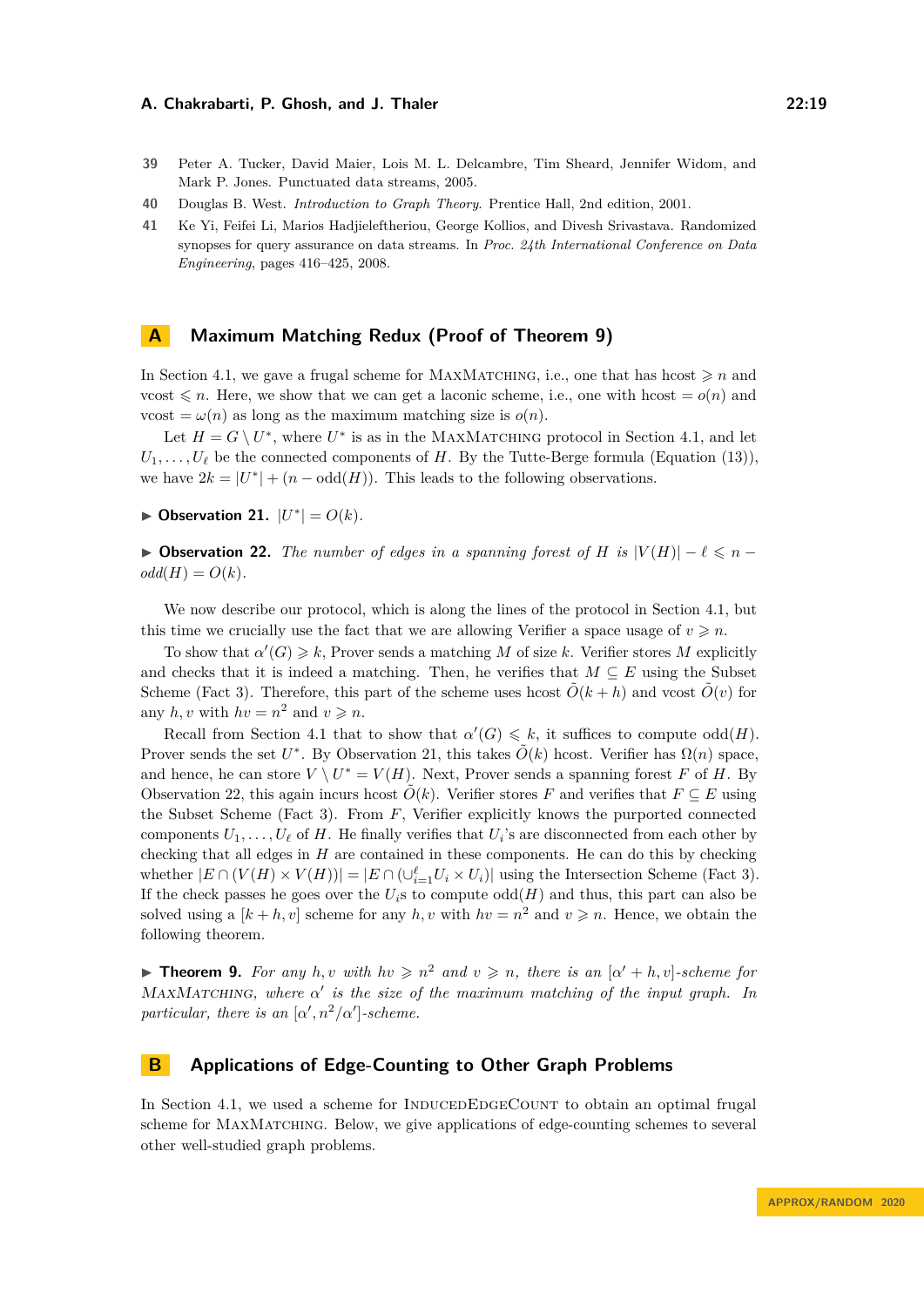- <span id="page-18-0"></span>**39** Peter A. Tucker, David Maier, Lois M. L. Delcambre, Tim Sheard, Jennifer Widom, and Mark P. Jones. Punctuated data streams, 2005.
- <span id="page-18-2"></span>**40** Douglas B. West. *Introduction to Graph Theory*. Prentice Hall, 2nd edition, 2001.
- <span id="page-18-1"></span>**41** Ke Yi, Feifei Li, Marios Hadjieleftheriou, George Kollios, and Divesh Srivastava. Randomized synopses for query assurance on data streams. In *Proc. 24th International Conference on Data Engineering*, pages 416–425, 2008.

# <span id="page-18-4"></span>**A Maximum Matching Redux (Proof of Theorem [9\)](#page-12-1)**

In Section [4.1,](#page-12-2) we gave a frugal scheme for MAXMATCHING, i.e., one that has hcost  $\geq n$  and vcost  $\leq n$ . Here, we show that we can get a laconic scheme, i.e., one with hcost  $= o(n)$  and vcost =  $\omega(n)$  as long as the maximum matching size is  $o(n)$ .

Let  $H = G \setminus U^*$ , where  $U^*$  is as in the MAXMATCHING protocol in Section [4.1,](#page-12-2) and let  $U_1, \ldots, U_\ell$  be the connected components of *H*. By the Tutte-Berge formula (Equation [\(13\)](#page-12-3)), we have  $2k = |U^*| + (n - \text{odd}(H))$ . This leads to the following observations.

<span id="page-18-5"></span>▶ Observation 21.  $|U^*| = O(k)$ *.* 

<span id="page-18-6"></span> $▶$  **Observation 22.** *The number of edges in a spanning forest of H is*  $|V(H)| - \ell \le n - \ell$  $odd(H) = O(k)$ .

We now describe our protocol, which is along the lines of the protocol in Section [4.1,](#page-12-2) but this time we crucially use the fact that we are allowing Verifier a space usage of  $v \geq n$ .

To show that  $\alpha'(G) \geq k$ , Prover sends a matching M of size k. Verifier stores M explicitly and checks that it is indeed a matching. Then, he verifies that  $M \subseteq E$  using the Subset Scheme (Fact [3\)](#page-7-6). Therefore, this part of the scheme uses hcost  $\hat{O}(k + h)$  and vcost  $\hat{O}(v)$  for any  $h, v$  with  $hv = n^2$  and  $v \geq n$ .

Recall from Section [4.1](#page-12-2) that to show that  $\alpha'(G) \leq k$ , it suffices to compute odd(*H*). Prover sends the set *U*<sup>\*</sup>. By Observation [21,](#page-18-5) this takes  $\tilde{O}(k)$  hcost. Verifier has  $\Omega(n)$  space, and hence, he can store  $V \setminus U^* = V(H)$ . Next, Prover sends a spanning forest *F* of *H*. By Observation [22,](#page-18-6) this again incurs hcost  $\tilde{O}(k)$ . Verifier stores *F* and verifies that  $F \subseteq E$  using the Subset Scheme (Fact [3\)](#page-7-6). From *F*, Verifier explicitly knows the purported connected components  $U_1, \ldots, U_\ell$  of *H*. He finally verifies that  $U_i$ 's are disconnected from each other by checking that all edges in *H* are contained in these components. He can do this by checking whether  $|E \cap (V(H) \times V(H))| = |E \cap (\bigcup_{i=1}^{\ell} U_i \times U_i)|$  using the Intersection Scheme (Fact [3\)](#page-7-6). If the check passes he goes over the  $U_i$ <sup>s</sup> to compute  $odd(H)$  and thus, this part can also be solved using a  $[k + h, v]$  scheme for any  $h, v$  with  $hv = n^2$  and  $v \geq n$ . Hence, we obtain the following theorem.

**Find 1.** For any *h,v* with  $hv \geq n^2$  and  $v \geq n$ , there is an  $[\alpha' + h, v]$ -scheme for MaxMatching*, where α* 0 *is the size of the maximum matching of the input graph. In particular, there is an*  $\lbrack \alpha', n^2/\alpha' \rbrack$ -scheme.

# <span id="page-18-3"></span>**B Applications of Edge-Counting to Other Graph Problems**

In Section [4.1,](#page-12-2) we used a scheme for INDUCEDEDGECOUNT to obtain an optimal frugal scheme for MAXMATCHING. Below, we give applications of edge-counting schemes to several other well-studied graph problems.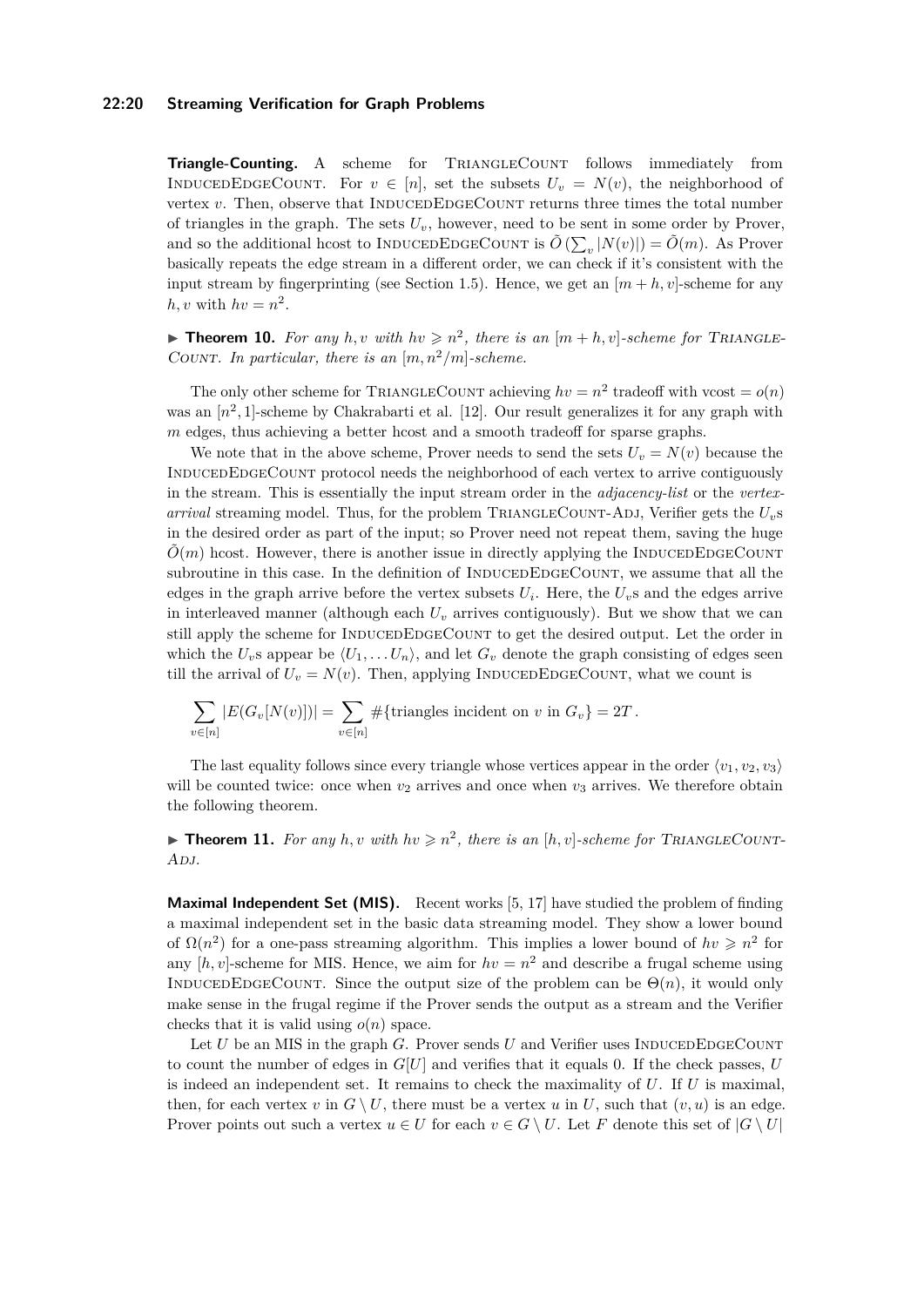### **22:20 Streaming Verification for Graph Problems**

**Triangle-Counting.** A scheme for TRIANGLECOUNT follows immediately from INDUCEDEDGECOUNT. For  $v \in [n]$ , set the subsets  $U_v = N(v)$ , the neighborhood of vertex  $v$ . Then, observe that INDUCEDEDGECOUNT returns three times the total number of triangles in the graph. The sets  $U_v$ , however, need to be sent in some order by Prover, and so the additional hcost to INDUCEDEDGECOUNT is  $\tilde{O}(\sum_{v} |N(v)|) = \tilde{O}(m)$ . As Prover basically repeats the edge stream in a different order, we can check if it's consistent with the input stream by fingerprinting (see Section [1.5\)](#page-6-0). Hence, we get an  $[m+h, v]$ -scheme for any  $h, v$  with  $hv = n^2$ .

**Theorem 10.** For any h, v with  $hv \geq n^2$ , there is an  $[m+h, v]$ -scheme for TRIANGLE-COUNT. In particular, there is an  $[m, n^2/m]$ -scheme.

The only other scheme for TRIANGLECOUNT achieving  $hv = n^2$  tradeoff with vcost =  $o(n)$ was an  $[n^2, 1]$ -scheme by Chakrabarti et al. [\[12\]](#page-16-2). Our result generalizes it for any graph with *m* edges, thus achieving a better hcost and a smooth tradeoff for sparse graphs.

We note that in the above scheme, Prover needs to send the sets  $U<sub>v</sub> = N(v)$  because the INDUCEDEDGECOUNT protocol needs the neighborhood of each vertex to arrive contiguously in the stream. This is essentially the input stream order in the *adjacency-list* or the *vertexarrival* streaming model. Thus, for the problem TRIANGLECOUNT-ADJ, Verifier gets the  $U_v$ s in the desired order as part of the input; so Prover need not repeat them, saving the huge  $\tilde{O}(m)$  hcost. However, there is another issue in directly applying the INDUCEDEDGECOUNT subroutine in this case. In the definition of INDUCEDEDGECOUNT, we assume that all the edges in the graph arrive before the vertex subsets  $U_i$ . Here, the  $U_v$ s and the edges arrive in interleaved manner (although each  $U_v$  arrives contiguously). But we show that we can still apply the scheme for INDUCEDEDGECOUNT to get the desired output. Let the order in which the  $U_v$ s appear be  $\langle U_1, \ldots, U_n \rangle$ , and let  $G_v$  denote the graph consisting of edges seen till the arrival of  $U_v = N(v)$ . Then, applying INDUCEDEDGECOUNT, what we count is

$$
\sum_{v \in [n]} |E(G_v[N(v)])| = \sum_{v \in [n]} # \{\text{triangles incident on } v \text{ in } G_v\} = 2T.
$$

The last equality follows since every triangle whose vertices appear in the order  $\langle v_1, v_2, v_3 \rangle$ will be counted twice: once when  $v_2$  arrives and once when  $v_3$  arrives. We therefore obtain the following theorem.

**Theorem 11.** For any h, v with  $hv \geq n^2$ , there is an  $[h, v]$ -scheme for TRIANGLECOUNT-A<sub>DJ</sub>.

**Maximal Independent Set (MIS).** Recent works [\[5,](#page-16-11) [17\]](#page-16-12) have studied the problem of finding a maximal independent set in the basic data streaming model. They show a lower bound of  $\Omega(n^2)$  for a one-pass streaming algorithm. This implies a lower bound of  $hv \geq n^2$  for any  $[h, v]$ -scheme for MIS. Hence, we aim for  $hv = n^2$  and describe a frugal scheme using INDUCEDEDGECOUNT. Since the output size of the problem can be  $\Theta(n)$ , it would only make sense in the frugal regime if the Prover sends the output as a stream and the Verifier checks that it is valid using  $o(n)$  space.

Let  $U$  be an MIS in the graph  $G$ . Prover sends  $U$  and Verifier uses INDUCEDEDGECOUNT to count the number of edges in  $G[U]$  and verifies that it equals 0. If the check passes,  $U$ is indeed an independent set. It remains to check the maximality of *U*. If *U* is maximal, then, for each vertex *v* in  $G \setminus U$ , there must be a vertex *u* in *U*, such that  $(v, u)$  is an edge. Prover points out such a vertex  $u \in U$  for each  $v \in G \setminus U$ . Let *F* denote this set of  $|G \setminus U|$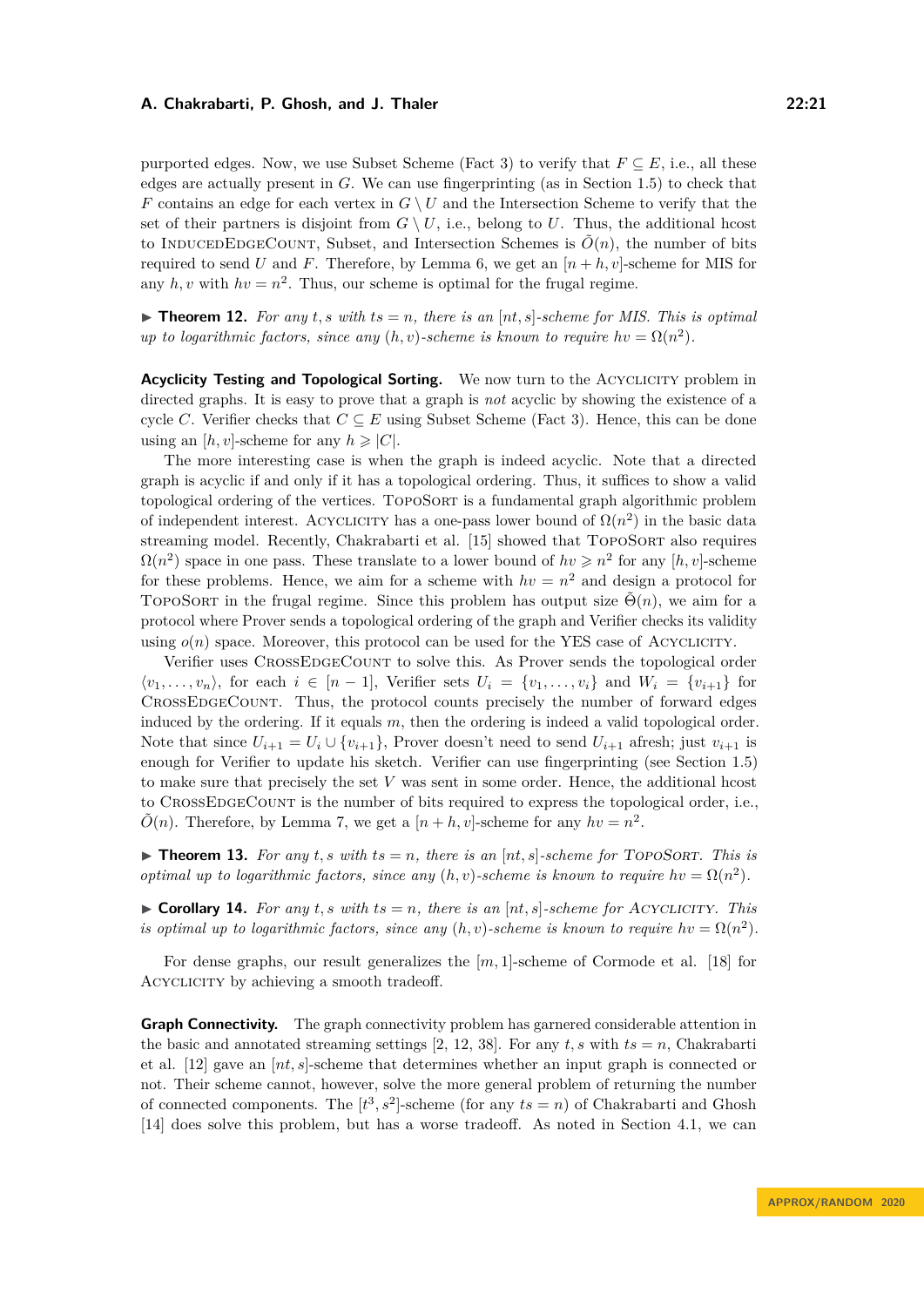purported edges. Now, we use Subset Scheme (Fact [3\)](#page-7-6) to verify that  $F \subseteq E$ , i.e., all these edges are actually present in *G*. We can use fingerprinting (as in Section [1.5\)](#page-6-0) to check that *F* contains an edge for each vertex in  $G \setminus U$  and the Intersection Scheme to verify that the set of their partners is disjoint from  $G \setminus U$ , i.e., belong to *U*. Thus, the additional hcost to INDUCEDEDGECOUNT, Subset, and Intersection Schemes is  $\tilde{O}(n)$ , the number of bits required to send *U* and *F*. Therefore, by Lemma [6,](#page-10-1) we get an  $[n + h, v]$ -scheme for MIS for any  $h, v$  with  $hv = n^2$ . Thus, our scheme is optimal for the frugal regime.

 $\triangleright$  **Theorem 12.** For any t, s with  $ts = n$ , there is an [nt, s]-scheme for MIS. This is optimal *up to logarithmic factors, since any*  $(h, v)$ -scheme is known to require  $hv = \Omega(n^2)$ .

**Acyclicity Testing and Topological Sorting.** We now turn to the ACYCLICITY problem in directed graphs. It is easy to prove that a graph is *not* acyclic by showing the existence of a cycle *C*. Verifier checks that  $C \subseteq E$  using Subset Scheme (Fact [3\)](#page-7-6). Hence, this can be done using an  $[h, v]$ -scheme for any  $h \geq |C|$ .

The more interesting case is when the graph is indeed acyclic. Note that a directed graph is acyclic if and only if it has a topological ordering. Thus, it suffices to show a valid topological ordering of the vertices. TOPOSORT is a fundamental graph algorithmic problem of independent interest. ACYCLICITY has a one-pass lower bound of  $\Omega(n^2)$  in the basic data streaming model. Recently, Chakrabarti et al. [\[15\]](#page-16-13) showed that TOPOSORT also requires  $\Omega(n^2)$  space in one pass. These translate to a lower bound of  $hv \geq n^2$  for any  $[h, v]$ -scheme for these problems. Hence, we aim for a scheme with  $hv = n^2$  and design a protocol for TOPOSORT in the frugal regime. Since this problem has output size  $\tilde{\Theta}(n)$ , we aim for a protocol where Prover sends a topological ordering of the graph and Verifier checks its validity using  $o(n)$  space. Moreover, this protocol can be used for the YES case of ACYCLICITY.

Verifier uses CROSSEDGECOUNT to solve this. As Prover sends the topological order  $\langle v_1, \ldots, v_n \rangle$ , for each  $i \in [n-1]$ , Verifier sets  $U_i = \{v_1, \ldots, v_i\}$  and  $W_i = \{v_{i+1}\}$  for CrossEdgeCount. Thus, the protocol counts precisely the number of forward edges induced by the ordering. If it equals *m*, then the ordering is indeed a valid topological order. Note that since  $U_{i+1} = U_i \cup \{v_{i+1}\}\$ , Prover doesn't need to send  $U_{i+1}$  afresh; just  $v_{i+1}$  is enough for Verifier to update his sketch. Verifier can use fingerprinting (see Section [1.5\)](#page-6-0) to make sure that precisely the set *V* was sent in some order. Hence, the additional hcost to CrossEdgeCount is the number of bits required to express the topological order, i.e.,  $\tilde{O}(n)$ . Therefore, by Lemma [7,](#page-10-5) we get a  $[n+h, v]$ -scheme for any  $hv = n^2$ .

 $\triangleright$  **Theorem 13.** For any *t*, *s* with  $ts = n$ , there is an  $[nt, s]$ -scheme for TOPOSORT. This is *optimal up to logarithmic factors, since any*  $(h, v)$ -scheme is known to require  $hv = \Omega(n^2)$ .

 $\triangleright$  **Corollary 14.** For any *t, s* with  $ts = n$ *, there is an* [nt, s]-scheme for ACYCLICITY. This *is optimal up to logarithmic factors, since any*  $(h, v)$ -scheme is known to require  $hv = \Omega(n^2)$ .

For dense graphs, our result generalizes the [*m,* 1]-scheme of Cormode et al. [\[18\]](#page-17-9) for Acyclicity by achieving a smooth tradeoff.

**Graph Connectivity.** The graph connectivity problem has garnered considerable attention in the basic and annotated streaming settings [\[2,](#page-16-16) [12,](#page-16-2) [38\]](#page-17-8). For any  $t$ , s with  $ts = n$ , Chakrabarti et al. [\[12\]](#page-16-2) gave an [*nt, s*]-scheme that determines whether an input graph is connected or not. Their scheme cannot, however, solve the more general problem of returning the number of connected components. The  $[t^3, s^2]$ -scheme (for any  $ts = n$ ) of Chakrabarti and Ghosh [\[14\]](#page-16-8) does solve this problem, but has a worse tradeoff. As noted in Section [4.1,](#page-12-2) we can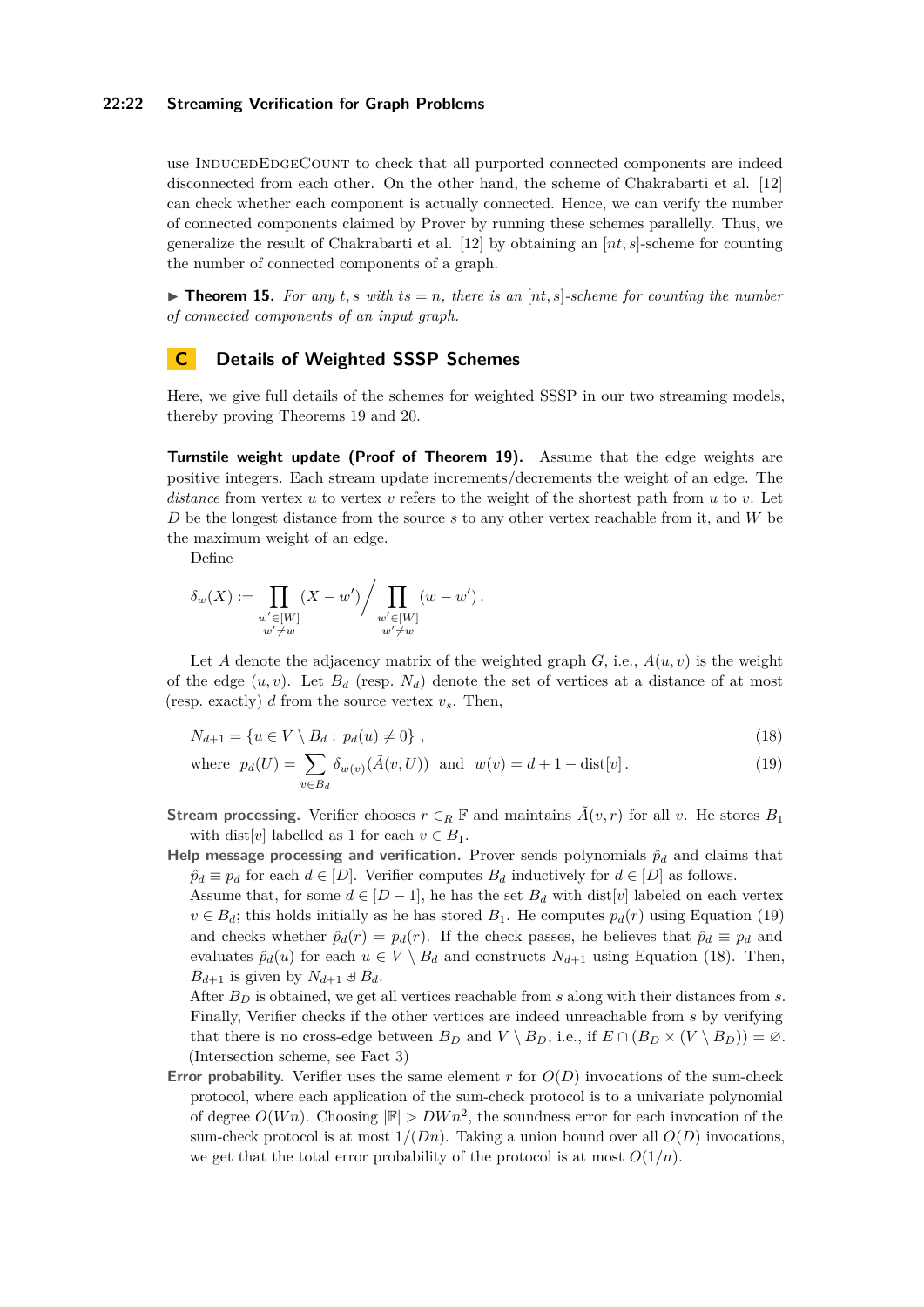### **22:22 Streaming Verification for Graph Problems**

use INDUCEDEDGECOUNT to check that all purported connected components are indeed disconnected from each other. On the other hand, the scheme of Chakrabarti et al. [\[12\]](#page-16-2) can check whether each component is actually connected. Hence, we can verify the number of connected components claimed by Prover by running these schemes parallelly. Thus, we generalize the result of Chakrabarti et al. [\[12\]](#page-16-2) by obtaining an [*nt, s*]-scheme for counting the number of connected components of a graph.

 $\triangleright$  **Theorem 15.** For any t, s with ts = n, there is an  $[nt, s]$ -scheme for counting the number *of connected components of an input graph.*

# <span id="page-21-0"></span>**C Details of Weighted SSSP Schemes**

Here, we give full details of the schemes for weighted SSSP in our two streaming models, thereby proving Theorems [19](#page-15-2) and [20.](#page-15-3)

**Turnstile weight update (Proof of Theorem [19\)](#page-15-2).** Assume that the edge weights are positive integers. Each stream update increments/decrements the weight of an edge. The *distance* from vertex *u* to vertex *v* refers to the weight of the shortest path from *u* to *v*. Let *D* be the longest distance from the source *s* to any other vertex reachable from it, and *W* be the maximum weight of an edge.

Define

$$
\delta_w(X) := \prod_{\substack{w' \in [W] \\ w' \neq w}} (X - w') / \prod_{\substack{w' \in [W] \\ w' \neq w}} (w - w').
$$

Let *A* denote the adjacency matrix of the weighted graph  $G$ , i.e.,  $A(u, v)$  is the weight of the edge  $(u, v)$ . Let  $B_d$  (resp.  $N_d$ ) denote the set of vertices at a distance of at most (resp. exactly) *d* from the source vertex *vs*. Then,

<span id="page-21-2"></span>
$$
N_{d+1} = \{ u \in V \setminus B_d : p_d(u) \neq 0 \}, \qquad (18)
$$

<span id="page-21-1"></span>where 
$$
p_d(U) = \sum_{v \in B_d} \delta_{w(v)}(\tilde{A}(v, U))
$$
 and  $w(v) = d + 1 - \text{dist}[v]$ . (19)

- **Stream processing.** Verifier chooses  $r \in_R \mathbb{F}$  and maintains  $\tilde{A}(v,r)$  for all *v*. He stores  $B_1$ with dist[*v*] labelled as 1 for each  $v \in B_1$ .
- **Help message processing and verification.** Prover sends polynomials  $\hat{p}_d$  and claims that  $\hat{p}_d \equiv p_d$  for each  $d \in [D]$ . Verifier computes  $B_d$  inductively for  $d \in [D]$  as follows.

Assume that, for some  $d \in [D-1]$ , he has the set  $B_d$  with dist[*v*] labeled on each vertex  $v \in B_d$ ; this holds initially as he has stored  $B_1$ . He computes  $p_d(r)$  using Equation [\(19\)](#page-21-1) and checks whether  $\hat{p}_d(r) = p_d(r)$ . If the check passes, he believes that  $\hat{p}_d \equiv p_d$  and evaluates  $\hat{p}_d(u)$  for each  $u \in V \setminus B_d$  and constructs  $N_{d+1}$  using Equation [\(18\)](#page-21-2). Then,  $B_{d+1}$  is given by  $N_{d+1} \oplus B_d$ .

After *B<sup>D</sup>* is obtained, we get all vertices reachable from *s* along with their distances from *s*. Finally, Verifier checks if the other vertices are indeed unreachable from *s* by verifying that there is no cross-edge between  $B_D$  and  $V \setminus B_D$ , i.e., if  $E \cap (B_D \times (V \setminus B_D)) = \emptyset$ . (Intersection scheme, see Fact [3\)](#page-7-6)

**Error probability.** Verifier uses the same element *r* for *O*(*D*) invocations of the sum-check protocol, where each application of the sum-check protocol is to a univariate polynomial of degree  $O(Wn)$ . Choosing  $|\mathbb{F}| > DW_n^2$ , the soundness error for each invocation of the sum-check protocol is at most  $1/(Dn)$ . Taking a union bound over all  $O(D)$  invocations, we get that the total error probability of the protocol is at most  $O(1/n)$ .